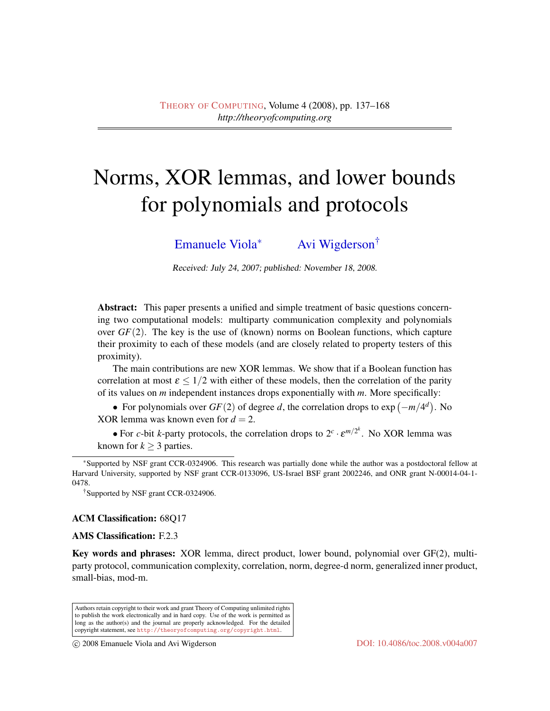# Norms, XOR lemmas, and lower bounds for polynomials and protocols

[Emanuele Viola](#page-31-0)<sup>∗</sup> [Avi Wigderson](#page-31-1)†

Received: July 24, 2007; published: November 18, 2008.

Abstract: This paper presents a unified and simple treatment of basic questions concerning two computational models: multiparty communication complexity and polynomials over  $GF(2)$ . The key is the use of (known) norms on Boolean functions, which capture their proximity to each of these models (and are closely related to property testers of this proximity).

The main contributions are new XOR lemmas. We show that if a Boolean function has correlation at most  $\varepsilon < 1/2$  with either of these models, then the correlation of the parity of its values on *m* independent instances drops exponentially with *m*. More specifically:

• For polynomials over  $GF(2)$  of degree *d*, the correlation drops to  $exp(-m/4^d)$ . No XOR lemma was known even for  $d = 2$ .

• For *c*-bit *k*-party protocols, the correlation drops to  $2^c \cdot \varepsilon^{m/2^k}$ . No XOR lemma was known for  $k > 3$  parties.

†Supported by NSF grant CCR-0324906.

#### ACM Classification: 68Q17

# AMS Classification: F.2.3

Key words and phrases: XOR lemma, direct product, lower bound, polynomial over GF(2), multiparty protocol, communication complexity, correlation, norm, degree-d norm, generalized inner product, small-bias, mod-m.

Authors retain copyright to their work and grant Theory of Computing unlimited rights to publish the work electronically and in hard copy. Use of the work is permitted as long as the author(s) and the journal are properly acknowledged. For the detailed copyright statement, see <http://theoryofcomputing.org/copyright.html>.

c 2008 Emanuele Viola and Avi Wigderson [DOI: 10.4086/toc.2008.v004a007](http://dx.doi.org/10.4086/toc.2008.v004a007)

<sup>∗</sup>Supported by NSF grant CCR-0324906. This research was partially done while the author was a postdoctoral fellow at Harvard University, supported by NSF grant CCR-0133096, US-Israel BSF grant 2002246, and ONR grant N-00014-04-1- 0478.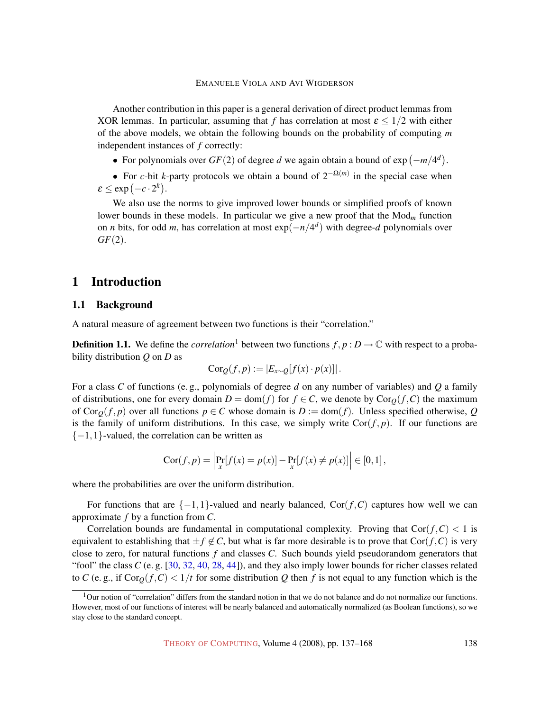Another contribution in this paper is a general derivation of direct product lemmas from XOR lemmas. In particular, assuming that *f* has correlation at most  $\varepsilon < 1/2$  with either of the above models, we obtain the following bounds on the probability of computing *m* independent instances of *f* correctly:

• For polynomials over  $GF(2)$  of degree *d* we again obtain a bound of  $exp(-m/4^d)$ .

• For *c*-bit *k*-party protocols we obtain a bound of  $2^{-\Omega(m)}$  in the special case when  $\varepsilon \le \exp(-c \cdot 2^k).$ 

We also use the norms to give improved lower bounds or simplified proofs of known lower bounds in these models. In particular we give a new proof that the Mod*<sup>m</sup>* function on *n* bits, for odd *m*, has correlation at most  $exp(-n/4^d)$  with degree-*d* polynomials over *GF*(2).

# 1 Introduction

# <span id="page-1-0"></span>1.1 Background

<span id="page-1-1"></span>A natural measure of agreement between two functions is their "correlation."

**Definition 1.1.** We define the *correlation*<sup>1</sup> between two functions  $f, p : D \to \mathbb{C}$  with respect to a probability distribution *Q* on *D* as

$$
Cor_Q(f, p) := |E_{x \sim Q}[f(x) \cdot p(x)]|.
$$

For a class *C* of functions (e. g., polynomials of degree *d* on any number of variables) and *Q* a family of distributions, one for every domain  $D = \text{dom}(f)$  for  $f \in C$ , we denote by  $\text{Cor}_O(f, C)$  the maximum of Cor<sub>Q</sub>(*f*, *p*) over all functions  $p \in C$  whose domain is  $D := \text{dom}(f)$ . Unless specified otherwise, Q is the family of uniform distributions. In this case, we simply write  $Cor(f, p)$ . If our functions are  $\{-1,1\}$ -valued, the correlation can be written as

$$
Cor(f, p) = \left| \Pr_x[f(x) = p(x)] - \Pr_x[f(x) \neq p(x)] \right| \in [0, 1],
$$

where the probabilities are over the uniform distribution.

For functions that are  $\{-1,1\}$ -valued and nearly balanced, Cor( $f, C$ ) captures how well we can approximate *f* by a function from *C*.

Correlation bounds are fundamental in computational complexity. Proving that  $Cor(f, C) < 1$  is equivalent to establishing that  $\pm f \notin C$ , but what is far more desirable is to prove that Cor( $f, C$ ) is very close to zero, for natural functions *f* and classes *C*. Such bounds yield pseudorandom generators that "fool" the class *C* (e. g. [\[30,](#page-29-0) [32,](#page-29-1) [40,](#page-30-0) [28,](#page-29-2) [44\]](#page-30-1)), and they also imply lower bounds for richer classes related to *C* (e.g., if  $Cor_0(f, C) < 1/t$  for some distribution *Q* then *f* is not equal to any function which is the

 $1$ Our notion of "correlation" differs from the standard notion in that we do not balance and do not normalize our functions. However, most of our functions of interest will be nearly balanced and automatically normalized (as Boolean functions), so we stay close to the standard concept.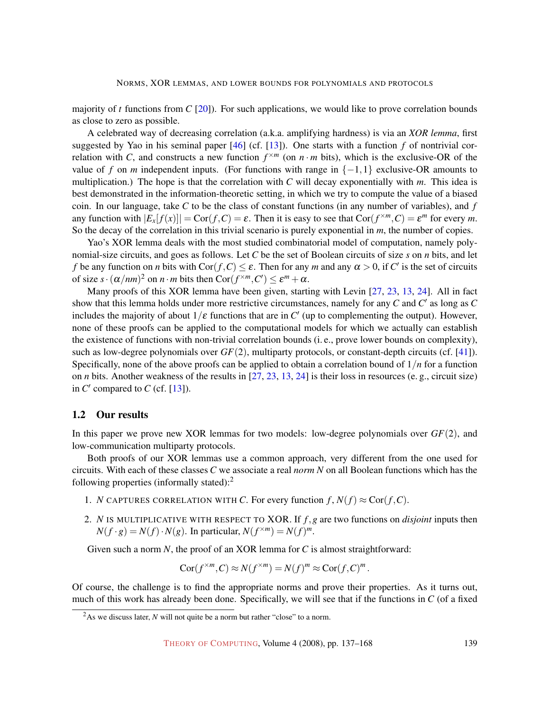majority of *t* functions from *C* [\[20\]](#page-29-3)). For such applications, we would like to prove correlation bounds as close to zero as possible.

A celebrated way of decreasing correlation (a.k.a. amplifying hardness) is via an *XOR lemma*, first suggested by Yao in his seminal paper [\[46\]](#page-30-2) (cf. [\[13\]](#page-28-0)). One starts with a function *f* of nontrivial correlation with *C*, and constructs a new function  $f^{\times m}$  (on  $n \cdot m$  bits), which is the exclusive-OR of the value of *f* on *m* independent inputs. (For functions with range in  $\{-1,1\}$  exclusive-OR amounts to multiplication.) The hope is that the correlation with *C* will decay exponentially with *m*. This idea is best demonstrated in the information-theoretic setting, in which we try to compute the value of a biased coin. In our language, take *C* to be the class of constant functions (in any number of variables), and *f* any function with  $|E_x[f(x)]| = \text{Cor}(f, C) = \varepsilon$ . Then it is easy to see that  $\text{Cor}(f^{\times m}, C) = \varepsilon^m$  for every *m*. So the decay of the correlation in this trivial scenario is purely exponential in *m*, the number of copies.

Yao's XOR lemma deals with the most studied combinatorial model of computation, namely polynomial-size circuits, and goes as follows. Let *C* be the set of Boolean circuits of size *s* on *n* bits, and let *f* be any function on *n* bits with  $Cor(f, C) \le \varepsilon$ . Then for any *m* and any  $\alpha > 0$ , if *C*' is the set of circuits of size  $s \cdot (\alpha/nm)^2$  on  $n \cdot m$  bits then  $Cor(f^{×m}, C') \le \varepsilon^m + \alpha$ .

Many proofs of this XOR lemma have been given, starting with Levin [\[27,](#page-29-4) [23,](#page-29-5) [13,](#page-28-0) [24\]](#page-29-6). All in fact show that this lemma holds under more restrictive circumstances, namely for any  $C$  and  $C'$  as long as  $C$ includes the majority of about  $1/\varepsilon$  functions that are in  $C'$  (up to complementing the output). However, none of these proofs can be applied to the computational models for which we actually can establish the existence of functions with non-trivial correlation bounds (i. e., prove lower bounds on complexity), such as low-degree polynomials over *GF*(2), multiparty protocols, or constant-depth circuits (cf. [\[41\]](#page-30-3)). Specifically, none of the above proofs can be applied to obtain a correlation bound of 1/*n* for a function on *n* bits. Another weakness of the results in [\[27,](#page-29-4) [23,](#page-29-5) [13,](#page-28-0) [24\]](#page-29-6) is their loss in resources (e. g., circuit size) in  $C'$  compared to  $C$  (cf. [\[13\]](#page-28-0)).

# <span id="page-2-1"></span>1.2 Our results

In this paper we prove new XOR lemmas for two models: low-degree polynomials over *GF*(2), and low-communication multiparty protocols.

Both proofs of our XOR lemmas use a common approach, very different from the one used for circuits. With each of these classes *C* we associate a real *norm N* on all Boolean functions which has the following properties (informally stated):<sup>2</sup>

- <span id="page-2-0"></span>1. *N* CAPTURES CORRELATION WITH *C*. For every function  $f, N(f) \approx \text{Cor}(f, C)$ .
- <span id="page-2-2"></span>2. *N* IS MULTIPLICATIVE WITH RESPECT TO XOR. If *f*,*g* are two functions on *disjoint* inputs then  $N(f \cdot g) = N(f) \cdot N(g)$ . In particular,  $N(f^{\times m}) = N(f)^m$ .

Given such a norm *N*, the proof of an XOR lemma for *C* is almost straightforward:

$$
Cor(f^{\times m}, C) \approx N(f^{\times m}) = N(f)^m \approx Cor(f, C)^m.
$$

Of course, the challenge is to find the appropriate norms and prove their properties. As it turns out, much of this work has already been done. Specifically, we will see that if the functions in *C* (of a fixed

<sup>&</sup>lt;sup>2</sup>As we discuss later, *N* will not quite be a norm but rather "close" to a norm.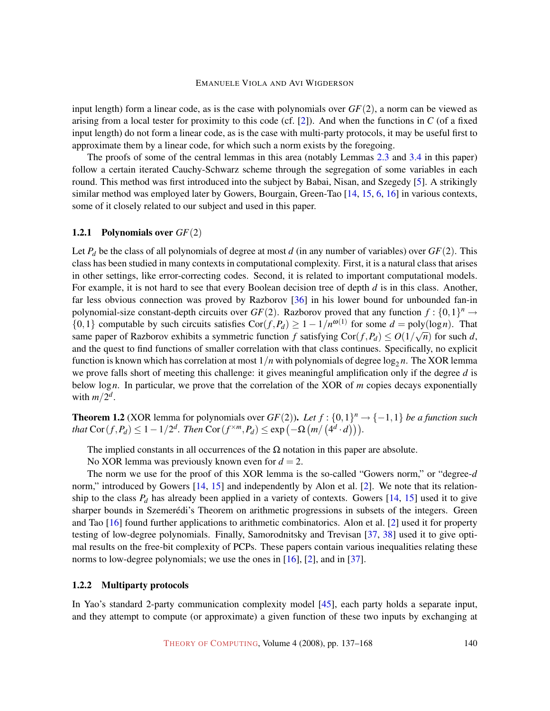input length) form a linear code, as is the case with polynomials over  $GF(2)$ , a norm can be viewed as arising from a local tester for proximity to this code (cf. [\[2\]](#page-27-0)). And when the functions in *C* (of a fixed input length) do not form a linear code, as is the case with multi-party protocols, it may be useful first to approximate them by a linear code, for which such a norm exists by the foregoing.

The proofs of some of the central lemmas in this area (notably Lemmas [2.3](#page-9-0) and [3.4](#page-18-0) in this paper) follow a certain iterated Cauchy-Schwarz scheme through the segregation of some variables in each round. This method was first introduced into the subject by Babai, Nisan, and Szegedy [\[5\]](#page-28-1). A strikingly similar method was employed later by Gowers, Bourgain, Green-Tao [\[14,](#page-28-2) [15,](#page-28-3) [6,](#page-28-4) [16\]](#page-28-5) in various contexts, some of it closely related to our subject and used in this paper.

# <span id="page-3-2"></span>1.2.1 Polynomials over *GF*(2)

Let  $P_d$  be the class of all polynomials of degree at most *d* (in any number of variables) over  $GF(2)$ . This class has been studied in many contexts in computational complexity. First, it is a natural class that arises in other settings, like error-correcting codes. Second, it is related to important computational models. For example, it is not hard to see that every Boolean decision tree of depth *d* is in this class. Another, far less obvious connection was proved by Razborov [\[36\]](#page-30-4) in his lower bound for unbounded fan-in polynomial-size constant-depth circuits over  $GF(2)$ . Razborov proved that any function  $f: \{0,1\}^n \to$ {0,1} computable by such circuits satisfies  $\text{Cor}(f, P_d) \ge 1 - 1/n^{\omega(1)}$  for some  $d = \text{poly}(\log n)$ . That same paper of Razborov exhibits a symmetric function *f* satisfying  $Cor(f, P_d) \leq O(1/\sqrt{n})$  for such *d*, and the quest to find functions of smaller correlation with that class continues. Specifically, no explicit function is known which has correlation at most  $1/n$  with polynomials of degree  $\log_2 n$ . The XOR lemma we prove falls short of meeting this challenge: it gives meaningful amplification only if the degree *d* is below log*n*. In particular, we prove that the correlation of the XOR of *m* copies decays exponentially with  $m/2^d$ .

<span id="page-3-0"></span>**Theorem 1.2** (XOR lemma for polynomials over  $GF(2)$ ). Let  $f : \{0,1\}^n \rightarrow \{-1,1\}$  be a function such *that*  $\text{Cor}(f, P_d) \leq 1 - 1/2^d$ . *Then*  $\text{Cor}(f^{\times m}, P_d) \leq \exp(-\Omega(m/(4^d \cdot d))).$ 

The implied constants in all occurrences of the  $\Omega$  notation in this paper are absolute.

No XOR lemma was previously known even for  $d = 2$ .

The norm we use for the proof of this XOR lemma is the so-called "Gowers norm," or "degree-*d* norm," introduced by Gowers [\[14,](#page-28-2) [15\]](#page-28-3) and independently by Alon et al. [\[2\]](#page-27-0). We note that its relationship to the class  $P_d$  has already been applied in a variety of contexts. Gowers  $[14, 15]$  $[14, 15]$  $[14, 15]$  used it to give sharper bounds in Szemerédi's Theorem on arithmetic progressions in subsets of the integers. Green and Tao [\[16\]](#page-28-5) found further applications to arithmetic combinatorics. Alon et al. [\[2\]](#page-27-0) used it for property testing of low-degree polynomials. Finally, Samorodnitsky and Trevisan [\[37,](#page-30-5) [38\]](#page-30-6) used it to give optimal results on the free-bit complexity of PCPs. These papers contain various inequalities relating these norms to low-degree polynomials; we use the ones in  $[16]$ ,  $[2]$ , and in  $[37]$ .

#### <span id="page-3-1"></span>1.2.2 Multiparty protocols

In Yao's standard 2-party communication complexity model [\[45\]](#page-30-7), each party holds a separate input, and they attempt to compute (or approximate) a given function of these two inputs by exchanging at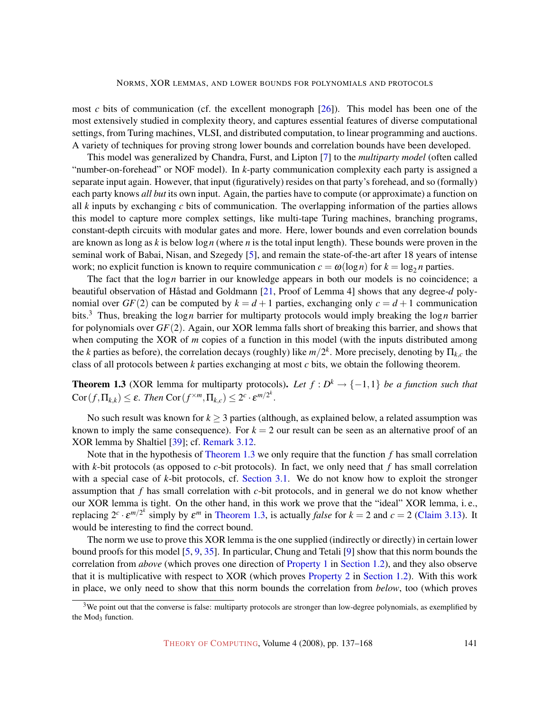most *c* bits of communication (cf. the excellent monograph [\[26\]](#page-29-7)). This model has been one of the most extensively studied in complexity theory, and captures essential features of diverse computational settings, from Turing machines, VLSI, and distributed computation, to linear programming and auctions. A variety of techniques for proving strong lower bounds and correlation bounds have been developed.

This model was generalized by Chandra, Furst, and Lipton [\[7\]](#page-28-6) to the *multiparty model* (often called "number-on-forehead" or NOF model). In *k*-party communication complexity each party is assigned a separate input again. However, that input (figuratively) resides on that party's forehead, and so (formally) each party knows *all but* its own input. Again, the parties have to compute (or approximate) a function on all *k* inputs by exchanging *c* bits of communication. The overlapping information of the parties allows this model to capture more complex settings, like multi-tape Turing machines, branching programs, constant-depth circuits with modular gates and more. Here, lower bounds and even correlation bounds are known as long as *k* is below log*n* (where *n* is the total input length). These bounds were proven in the seminal work of Babai, Nisan, and Szegedy [\[5\]](#page-28-1), and remain the state-of-the-art after 18 years of intense work; no explicit function is known to require communication  $c = \omega(\log n)$  for  $k = \log_2 n$  parties.

The fact that the log*n* barrier in our knowledge appears in both our models is no coincidence; a beautiful observation of Håstad and Goldmann [[21,](#page-29-8) Proof of Lemma 4] shows that any degree-*d* polynomial over  $GF(2)$  can be computed by  $k = d + 1$  parties, exchanging only  $c = d + 1$  communication bits.<sup>3</sup> Thus, breaking the log*n* barrier for multiparty protocols would imply breaking the log*n* barrier for polynomials over *GF*(2). Again, our XOR lemma falls short of breaking this barrier, and shows that when computing the XOR of *m* copies of a function in this model (with the inputs distributed among the *k* parties as before), the correlation decays (roughly) like  $m/2^k$ . More precisely, denoting by  $\Pi_{k,c}$  the class of all protocols between *k* parties exchanging at most *c* bits, we obtain the following theorem.

<span id="page-4-0"></span>**Theorem 1.3** (XOR lemma for multiparty protocols). Let  $f : D^k \to \{-1,1\}$  be a function such that  $\mathrm{Cor}(f, \Pi_{k,k}) \leq \varepsilon$ . Then  $\mathrm{Cor}(f^{\times m}, \Pi_{k,c}) \leq 2^c \cdot \varepsilon^{m/2^k}$ .

No such result was known for  $k \geq 3$  parties (although, as explained below, a related assumption was known to imply the same consequence). For  $k = 2$  our result can be seen as an alternative proof of an XOR lemma by Shaltiel [\[39\]](#page-30-8); cf. [Remark](#page-23-0) [3.12.](#page-23-0)

Note that in the hypothesis of Theorem [1.3](#page-4-0) [we only require that the function](#page-4-0) *f* has small correlation with *k*-bit protocols (as opposed to *c*-bit protocols). In fact, we only need that *f* has small correlation with a special case of *k*-bit protocols, cf. Section [3.1. We do not know how to exploit the stronger](#page-18-1) assumption that *f* has small correlation with *c*-bit protocols, and in general we do not know whether our XOR lemma is tight. On the other hand, in this work we prove that the "ideal" XOR lemma, i. e., *replacing*  $2^c \cdot \varepsilon^{m/2^k}$  simply by  $\varepsilon^m$  in Theorem [1.3, is actually](#page-4-0) *false* for  $k = 2$  and  $c = 2$  (Claim [3.13\). It](#page-24-0) would be interesting to find the correct bound.

The norm we use to prove this XOR lemma is the one supplied (indirectly or directly) in certain lower bound proofs for this model [\[5,](#page-28-1) [9,](#page-28-7) [35\]](#page-30-9). In particular, Chung and Tetali [\[9\]](#page-28-7) show that this norm bounds the correlation from *above* (which proves one direction of Property [1](#page-2-0) in [Section](#page-2-0) [1.2\), and they also observe](#page-2-0) that it is multiplicative with respect to XOR (which proves Property [2](#page-2-2) in [Section](#page-2-2) [1.2\). With this work](#page-2-2) in place, we only need to show that this norm bounds the correlation from *below*, too (which proves

 $3$ We point out that the converse is false: multiparty protocols are stronger than low-degree polynomials, as exemplified by the  $Mod_3$  function.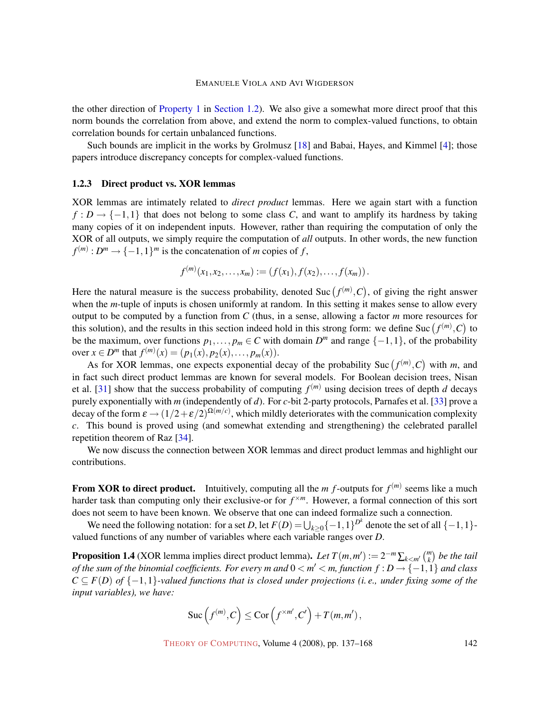the other direction of Property [1](#page-2-0) in [Section](#page-2-0) [1.2\). We also give a somewhat more direct proof that this](#page-2-0) norm bounds the correlation from above, and extend the norm to complex-valued functions, to obtain correlation bounds for certain unbalanced functions.

Such bounds are implicit in the works by Grolmusz [\[18\]](#page-28-8) and Babai, Hayes, and Kimmel [\[4\]](#page-27-1); those papers introduce discrepancy concepts for complex-valued functions.

#### <span id="page-5-1"></span>1.2.3 Direct product vs. XOR lemmas

XOR lemmas are intimately related to *direct product* lemmas. Here we again start with a function  $f: D \to \{-1,1\}$  that does not belong to some class *C*, and want to amplify its hardness by taking many copies of it on independent inputs. However, rather than requiring the computation of only the XOR of all outputs, we simply require the computation of *all* outputs. In other words, the new function  $f^{(m)}: D^m \to \{-1,1\}^m$  is the concatenation of *m* copies of *f*,

$$
f^{(m)}(x_1,x_2,\ldots,x_m):=(f(x_1),f(x_2),\ldots,f(x_m)).
$$

Here the natural measure is the success probability, denoted Suc  $(f^{(m)}, C)$ , of giving the right answer when the *m*-tuple of inputs is chosen uniformly at random. In this setting it makes sense to allow every output to be computed by a function from *C* (thus, in a sense, allowing a factor *m* more resources for this solution), and the results in this section indeed hold in this strong form: we define Suc  $(f^{(m)}, C)$  to be the maximum, over functions  $p_1, \ldots, p_m \in C$  with domain  $D^m$  and range  $\{-1, 1\}$ , of the probability over  $x \in D^m$  that  $f^{(m)}(x) = (p_1(x), p_2(x), \ldots, p_m(x)).$ 

As for XOR lemmas, one expects exponential decay of the probability Suc  $(f^{(m)}, C)$  with *m*, and in fact such direct product lemmas are known for several models. For Boolean decision trees, Nisan et al. [\[31\]](#page-29-9) show that the success probability of computing  $f^{(m)}$  using decision trees of depth *d* decays purely exponentially with *m* (independently of *d*). For *c*-bit 2-party protocols, Parnafes et al. [\[33\]](#page-30-10) prove a decay of the form  $\epsilon \to (1/2+\epsilon/2)^{\Omega(m/c)}$ , which mildly deteriorates with the communication complexity *c*. This bound is proved using (and somewhat extending and strengthening) the celebrated parallel repetition theorem of Raz [\[34\]](#page-30-11).

We now discuss the connection between XOR lemmas and direct product lemmas and highlight our contributions.

**From XOR to direct product.** Intuitively, computing all the  $m$   $f$ -outputs for  $f^{(m)}$  seems like a much harder task than computing only their exclusive-or for  $f^{\times m}$ . However, a formal connection of this sort does not seem to have been known. We observe that one can indeed formalize such a connection.

We need the following notation: for a set *D*, let  $F(D) = \bigcup_{k \geq 0} \{-1,1\}^{D^k}$  denote the set of all  $\{-1,1\}$ valued functions of any number of variables where each variable ranges over *D*.

<span id="page-5-0"></span>**Proposition 1.4** (XOR lemma implies direct product lemma). Let  $T(m,m') := 2^{-m} \sum_{k \le m'} {m \choose k}$  be the tail  $of$  the sum of the binomial coefficients. For every m and  $0 < m' < m$ , function  $f : D \rightarrow \{-1,1\}$  and class  $C \subseteq F(D)$  *of*  $\{-1,1\}$ -valued functions that is closed under projections (i.e., under fixing some of the *input variables), we have:*

$$
\mathrm{Suc}\left(f^{(m)},C\right) \leq \mathrm{Cor}\left(f^{\times m'},C'\right) + T(m,m'),
$$

THEORY OF C[OMPUTING](http://dx.doi.org/10.4086/toc), Volume 4 (2008), pp. 137–168 142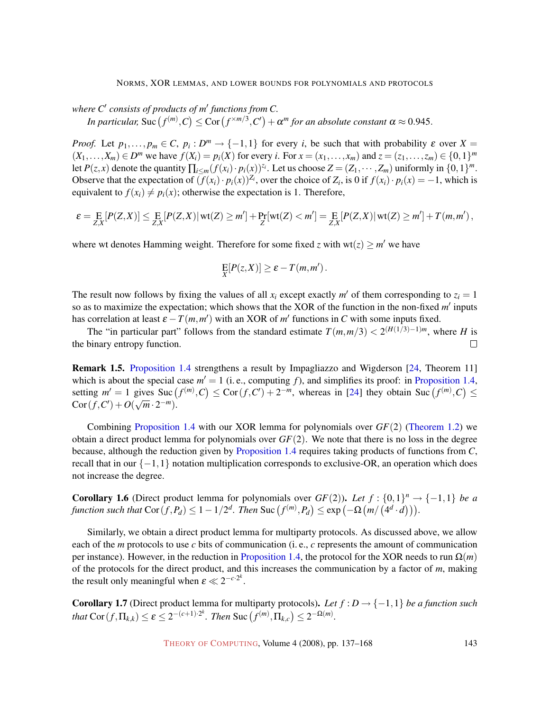#### NORMS, XOR LEMMAS, AND LOWER BOUNDS FOR POLYNOMIALS AND PROTOCOLS

*where C*<sup>0</sup> *consists of products of m*<sup>0</sup> *functions from C.*

*In particular,* Suc  $(f^{(m)}, C) \leq$  Cor  $(f^{\times m/3}, C') + \alpha^m$  for an absolute constant  $\alpha \approx 0.945$ .

*Proof.* Let  $p_1, \ldots, p_m \in C$ ,  $p_i : D^m \to \{-1, 1\}$  for every *i*, be such that with probability  $\varepsilon$  over  $X =$  $(X_1,...,X_m) \in D^m$  we have  $f(X_i) = p_i(X)$  for every i. For  $x = (x_1,...,x_m)$  and  $z = (z_1,...,z_m) \in \{0,1\}^m$ let  $P(z, x)$  denote the quantity  $\prod_{i \le m} (f(x_i) \cdot p_i(x))^{z_i}$ . Let us choose  $Z = (Z_1, \dots, Z_m)$  uniformly in  $\{0, 1\}^m$ . Observe that the expectation of  $(f(x_i) \cdot p_i(x))^{\mathbb{Z}_i}$ , over the choice of  $Z_i$ , is 0 if  $f(x_i) \cdot p_i(x) = -1$ , which is equivalent to  $f(x_i) \neq p_i(x)$ ; otherwise the expectation is 1. Therefore,

$$
\varepsilon = \mathop{\mathbf{E}}_{Z,X}[P(Z,X)] \leq \mathop{\mathbf{E}}_{Z,X}[P(Z,X)|\operatorname{wt}(Z) \geq m'] + \mathop{\mathbf{Pr}}_{Z}[\operatorname{wt}(Z) < m'] = \mathop{\mathbf{E}}_{Z,X}[P(Z,X)|\operatorname{wt}(Z) \geq m'] + T(m,m'),
$$

where wt denotes Hamming weight. Therefore for some fixed *z* with  $wt(z) \geq m'$  we have

$$
\mathop{\mathrm{E}}_X[P(z,X)] \geq \varepsilon - T(m,m').
$$

The result now follows by fixing the values of all  $x_i$  except exactly  $m'$  of them corresponding to  $z_i = 1$ so as to maximize the expectation; which shows that the XOR of the function in the non-fixed m' inputs has correlation at least  $\varepsilon - T(m, m')$  with an XOR of  $m'$  functions in *C* with some inputs fixed.

The "in particular part" follows from the standard estimate  $T(m,m/3) < 2^{(H(1/3)-1)m}$ , where *H* is the binary entropy function.  $\Box$ 

<span id="page-6-2"></span>Remark 1.5. Proposition [1.4](#page-5-0) [strengthens a result by Impagliazzo and Wigderson \[24, Theorem 11\]](#page-5-0) which is about the special case  $m' = 1$  (i.e., computing f), and simplifies its proof: in [Proposition](#page-5-0) [1.4,](#page-5-0) setting  $m' = 1$  gives  $\text{Suc}(f^{(m)}, C) \leq \text{Cor}(f, C') + 2^{-m}$ , whereas in [\[24\]](#page-29-6) they obtain  $\text{Suc}(f^{(m)}, C) \leq$  $Cor(f, C') + O(\sqrt{m} \cdot 2^{-m}).$ 

Combining Proposition [1.4](#page-5-0) [with our XOR lemma for polynomials over](#page-5-0) *GF*(2) [\(Theorem](#page-3-0) [1.2\)](#page-3-0) we obtain a direct product lemma for polynomials over *GF*(2). We note that there is no loss in the degree because, although the reduction given by Proposition [1.4](#page-5-0) [requires taking products of functions from](#page-5-0) *C*, recall that in our  $\{-1,1\}$  notation multiplication corresponds to exclusive-OR, an operation which does not increase the degree.

<span id="page-6-0"></span>**Corollary 1.6** (Direct product lemma for polynomials over  $GF(2)$ ). Let  $f: \{0,1\}^n \rightarrow \{-1,1\}$  be a  $f$ *unction such that*  $\text{Cor}(f, P_d) \leq 1 - 1/2^d$ . Then  $\text{Suc}(f^{(m)}, P_d) \leq \exp\left(-\Omega\left(m/\left(4^d \cdot d\right)\right)\right)$ .

Similarly, we obtain a direct product lemma for multiparty protocols. As discussed above, we allow each of the *m* protocols to use *c* bits of communication (i. e., *c* represents the amount of communication per instance). However, in the reduction in Proposition [1.4, the protocol for the XOR needs to run](#page-5-0)  $\Omega(m)$ of the protocols for the direct product, and this increases the communication by a factor of *m*, making the result only meaningful when  $\varepsilon \ll 2^{-c \cdot 2^k}$ .

<span id="page-6-1"></span>**Corollary 1.7** (Direct product lemma for multiparty protocols). Let  $f : D \to \{-1,1\}$  be a function such *that*  $\text{Cor}(f, \Pi_{k,k}) \leq \varepsilon \leq 2^{-(c+1)\cdot 2^k}$ . *Then*  $\text{Suc}(f^{(m)}, \Pi_{k,c}) \leq 2^{-\Omega(m)}$ .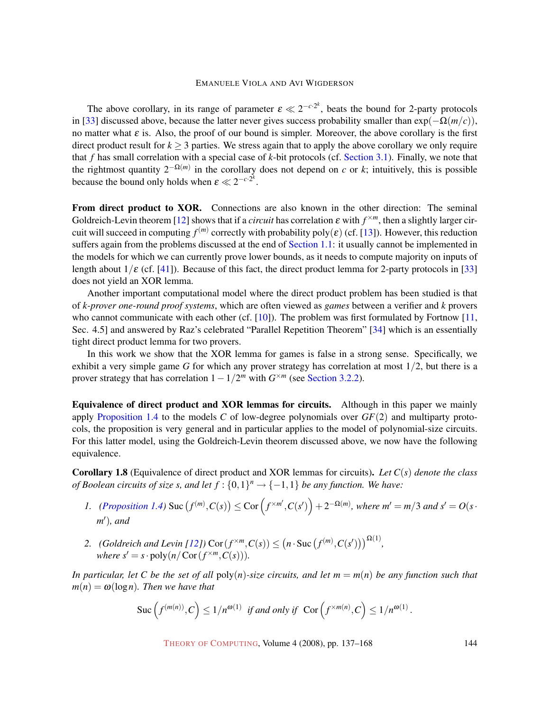The above corollary, in its range of parameter  $\epsilon \ll 2^{-c \cdot 2^k}$ , beats the bound for 2-party protocols in [\[33\]](#page-30-10) discussed above, because the latter never gives success probability smaller than  $exp(-\Omega(m/c))$ , no matter what  $\varepsilon$  is. Also, the proof of our bound is simpler. Moreover, the above corollary is the first direct product result for  $k \geq 3$  parties. We stress again that to apply the above corollary we only require that *f* has small correlation with a special case of *k*-bit protocols (cf. Section [3.1\). Finally, we note that](#page-18-1) the rightmost quantity 2−Ω(*m*) in the corollary does not depend on *c* or *k*; intuitively, this is possible because the bound only holds when  $\varepsilon \ll 2^{-c \cdot 2^k}$ .

<span id="page-7-0"></span>From direct product to XOR. Connections are also known in the other direction: The seminal Goldreich-Levin theorem [\[12\]](#page-28-9) shows that if a *circuit* has correlation  $\varepsilon$  with  $f^{\times m}$ , then a slightly larger circuit will succeed in computing  $f^{(m)}$  correctly with probability poly( $\varepsilon$ ) (cf. [\[13\]](#page-28-0)). However, this reduction suffers again from the problems discussed at the end of Section [1.1: it usually cannot be implemented in](#page-1-0) the models for which we can currently prove lower bounds, as it needs to compute majority on inputs of length about  $1/\varepsilon$  (cf. [\[41\]](#page-30-3)). Because of this fact, the direct product lemma for 2-party protocols in [\[33\]](#page-30-10) does not yield an XOR lemma.

Another important computational model where the direct product problem has been studied is that of *k-prover one-round proof systems*, which are often viewed as *games* between a verifier and *k* provers who cannot communicate with each other (cf.  $[10]$ ). The problem was first formulated by Fortnow  $[11]$ , Sec. 4.5] and answered by Raz's celebrated "Parallel Repetition Theorem" [\[34\]](#page-30-11) which is an essentially tight direct product lemma for two provers.

In this work we show that the XOR lemma for games is false in a strong sense. Specifically, we exhibit a very simple game *G* for which any prover strategy has correlation at most 1/2, but there is a prover strategy that has correlation  $1 - 1/2^m$  with  $G^{\times m}$  (see [Section](#page-25-0) [3.2.2\)](#page-25-0).

Equivalence of direct product and XOR lemmas for circuits. Although in this paper we mainly apply Proposition [1.4](#page-5-0) to the models *C* [of low-degree polynomials over](#page-5-0) *GF*(2) and multiparty protocols, the proposition is very general and in particular applies to the model of polynomial-size circuits. For this latter model, using the Goldreich-Levin theorem discussed above, we now have the following equivalence.

Corollary 1.8 (Equivalence of direct product and XOR lemmas for circuits). *Let C*(*s*) *denote the class of Boolean circuits of size s, and let*  $f : \{0,1\}^n \to \{-1,1\}$  *be any function. We have:* 

- *i*. *[\(Proposition](#page-5-0) [1.4\)](#page-5-0)* Suc  $(f^{(m)}, C(s)) \leq \text{Cor} (f^{\times m'}, C(s')) + 2^{-\Omega(m)}$ , where  $m' = m/3$  and  $s' = O(s \cdot$ *m'*), and
- <span id="page-7-1"></span>2. *(Goldreich and Levin [\[12\]](#page-28-9))* Cor $(f^{×m}, C(s)) \leq (n \cdot \text{Suc}(f^{(m)}, C(s')))^{\Omega(1)}$ , *where*  $s' = s \cdot \text{poly}(n/\text{Cor}(f^{\times m}, C(s))).$

*In particular, let C be the set of all*  $poly(n)$ *-size circuits, and let*  $m = m(n)$  *be any function such that*  $m(n) = \omega(\log n)$ *. Then we have that* 

$$
\operatorname{Suc}\left(f^{(m(n))},C\right)\leq 1/n^{\omega(1)}\ \ \text{if and only if}\ \ \operatorname{Cor}\left(f^{\times m(n)},C\right)\leq 1/n^{\omega(1)}.
$$

THEORY OF C[OMPUTING](http://dx.doi.org/10.4086/toc), Volume 4 (2008), pp. 137–168 144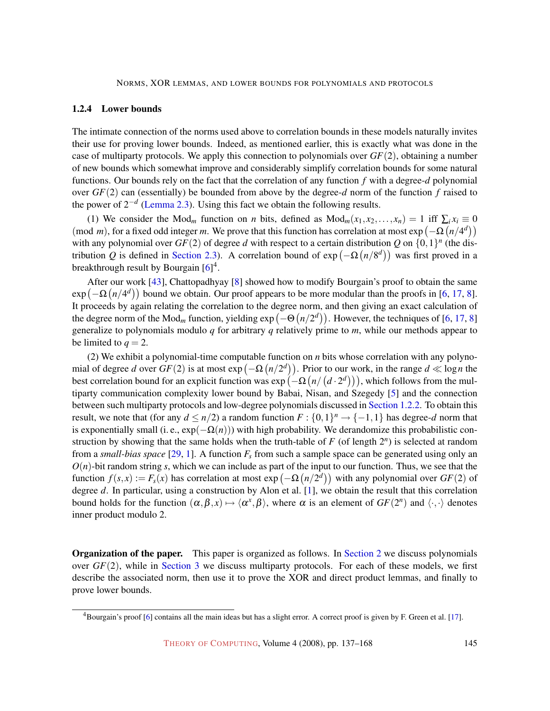## <span id="page-8-0"></span>1.2.4 Lower bounds

The intimate connection of the norms used above to correlation bounds in these models naturally invites their use for proving lower bounds. Indeed, as mentioned earlier, this is exactly what was done in the case of multiparty protocols. We apply this connection to polynomials over *GF*(2), obtaining a number of new bounds which somewhat improve and considerably simplify correlation bounds for some natural functions. Our bounds rely on the fact that the correlation of any function *f* with a degree-*d* polynomial over *GF*(2) can (essentially) be bounded from above by the degree-*d* norm of the function *f* raised to the power of 2−*<sup>d</sup>* (Lemma [2.3\). Using this fact we obtain the following results.](#page-9-0)

(1) We consider the Mod<sub>m</sub> function on *n* bits, defined as  $Mod_m(x_1, x_2,...,x_n) = 1$  iff  $\sum_i x_i \equiv 0$ (mod *m*), for a fixed odd integer *m*. We prove that this function has correlation at most  $\exp(-\Omega(n/4^d))$ with any polynomial over  $GF(2)$  of degree *d* with respect to a certain distribution *Q* on  $\{0,1\}^n$  (the distribution Q is defined in Section 2.3). A correlation bound of  $exp(-\Omega(n/8^d))$  was first proved in a breakthrough result by Bourgain [\[6\]](#page-28-4)<sup>4</sup>.

After our work [\[43\]](#page-30-12), Chattopadhyay [\[8\]](#page-28-12) showed how to modify Bourgain's proof to obtain the same  $\exp(-\Omega(n/4^d))$  bound we obtain. Our proof appears to be more modular than the proofs in [\[6,](#page-28-4) [17,](#page-28-13) [8\]](#page-28-12). It proceeds by again relating the correlation to the degree norm, and then giving an exact calculation of the degree norm of the Mod<sub>m</sub> function, yielding  $exp(-\Theta(n/2^d))$ . However, the techniques of [\[6,](#page-28-4) [17,](#page-28-13) [8\]](#page-28-12) generalize to polynomials modulo *q* for arbitrary *q* relatively prime to *m*, while our methods appear to be limited to  $q = 2$ .

(2) We exhibit a polynomial-time computable function on *n* bits whose correlation with any polynomial of degree *d* over  $GF(2)$  is at most  $exp(-\Omega(n/2^d))$ . Prior to our work, in the range  $d \ll log n$  the best correlation bound for an explicit function was  $\exp(-\Omega(n/(d\cdot 2^d)))$ , which follows from the multiparty communication complexity lower bound by Babai, Nisan, and Szegedy [\[5\]](#page-28-1) and the connection between such multiparty protocols and low-degree polynomials discussed in Section [1.2.2. To obtain this](#page-3-1) result, we note that (for any  $d \leq n/2$ ) a random function  $F: \{0,1\}^n \to \{-1,1\}$  has degree-*d* norm that is exponentially small (i. e.,  $exp(-\Omega(n))$ ) with high probability. We derandomize this probabilistic construction by showing that the same holds when the truth-table of  $F$  (of length  $2<sup>n</sup>$ ) is selected at random from a *small-bias space* [\[29,](#page-29-10) [1\]](#page-27-2). A function  $F<sub>s</sub>$  from such a sample space can be generated using only an  $O(n)$ -bit random string *s*, which we can include as part of the input to our function. Thus, we see that the function  $f(s,x) := F_s(x)$  has correlation at most  $exp(-\Omega(n/2^d))$  with any polynomial over  $GF(2)$  of degree *d*. In particular, using a construction by Alon et al. [\[1\]](#page-27-2), we obtain the result that this correlation bound holds for the function  $(\alpha, \beta, x) \mapsto \langle \alpha^x, \beta \rangle$ , where  $\alpha$  is an element of  $GF(2^n)$  and  $\langle \cdot, \cdot \rangle$  denotes inner product modulo 2.

**Organization of the paper.** This paper is organized as follows. In Section [2](#page-9-1) [we discuss polynomials](#page-9-1) over *GF*(2), while in Section [3](#page-17-0) [we discuss multiparty protocols. For each of these models, we first](#page-17-0) describe the associated norm, then use it to prove the XOR and direct product lemmas, and finally to prove lower bounds.

 $4$ Bourgain's proof [\[6\]](#page-28-4) contains all the main ideas but has a slight error. A correct proof is given by F. Green et al. [\[17\]](#page-28-13).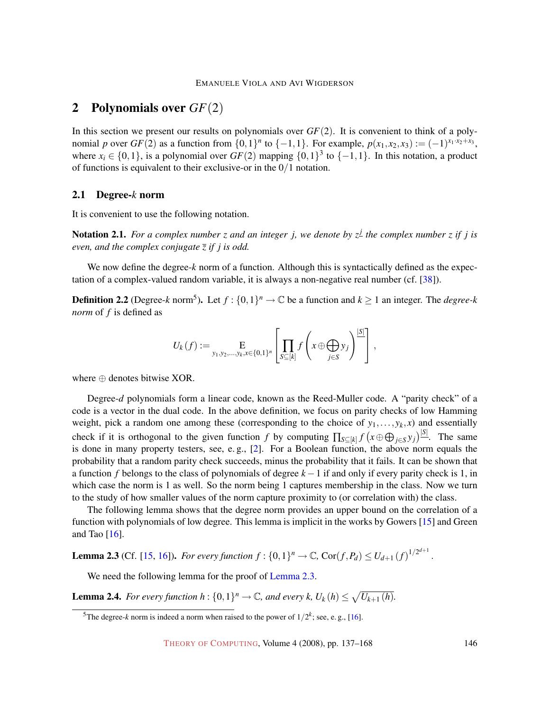# <span id="page-9-1"></span>2 Polynomials over *GF*(2)

In this section we present our results on polynomials over *GF*(2). It is convenient to think of a polynomial *p* over  $GF(2)$  as a function from  $\{0,1\}^n$  to  $\{-1,1\}$ . For example,  $p(x_1, x_2, x_3) := (-1)^{x_1 \cdot x_2 + x_3}$ , where  $x_i \in \{0,1\}$ , is a polynomial over  $GF(2)$  mapping  $\{0,1\}^3$  to  $\{-1,1\}$ . In this notation, a product of functions is equivalent to their exclusive-or in the 0/1 notation.

# 2.1 Degree-*k* norm

<span id="page-9-3"></span>It is convenient to use the following notation.

Notation 2.1. *For a complex number z and an integer j, we denote by z<sup>j</sup> the complex number z if j is even, and the complex conjugate z if j is odd.*

We now define the degree-*k* norm of a function. Although this is syntactically defined as the expectation of a complex-valued random variable, it is always a non-negative real number (cf. [\[38\]](#page-30-6)).

<span id="page-9-4"></span>**Definition 2.2** (Degree-k norm<sup>5</sup>). Let  $f: \{0,1\}^n \to \mathbb{C}$  be a function and  $k \ge 1$  an integer. The *degree-k norm* of *f* is defined as

$$
U_k(f) := \underset{y_1, y_2, \dots, y_k, x \in \{0,1\}^n}{\mathbb{E}} \left[ \prod_{S \subseteq [k]} f\left(x \oplus \bigoplus_{j \in S} y_j \right)^{|S|} \right],
$$

where ⊕ denotes bitwise XOR.

Degree-*d* polynomials form a linear code, known as the Reed-Muller code. A "parity check" of a code is a vector in the dual code. In the above definition, we focus on parity checks of low Hamming weight, pick a random one among these (corresponding to the choice of  $y_1, \ldots, y_k, x$ ) and essentially check if it is orthogonal to the given function *f* by computing  $\prod_{S \subseteq [k]} f(x \oplus \bigoplus_{j \in S} y_j)^{|S|}$ . The same is done in many property testers, see, e. g., [\[2\]](#page-27-0). For a Boolean function, the above norm equals the probability that a random parity check succeeds, minus the probability that it fails. It can be shown that a function *f* belongs to the class of polynomials of degree *k*−1 if and only if every parity check is 1, in which case the norm is 1 as well. So the norm being 1 captures membership in the class. Now we turn to the study of how smaller values of the norm capture proximity to (or correlation with) the class.

The following lemma shows that the degree norm provides an upper bound on the correlation of a function with polynomials of low degree. This lemma is implicit in the works by Gowers [\[15\]](#page-28-3) and Green and Tao [\[16\]](#page-28-5).

<span id="page-9-0"></span>**Lemma 2.3** (Cf. [\[15,](#page-28-3) [16\]](#page-28-5)). For every function  $f : \{0,1\}^n \to \mathbb{C}$ ,  $\text{Cor}(f, P_d) \le U_{d+1} (f)^{1/2^{d+1}}$ .

We need the following lemma for the proof of [Lemma](#page-9-0) [2.3.](#page-9-0)

<span id="page-9-2"></span>**Lemma 2.4.** For every function  $h: \{0,1\}^n \to \mathbb{C}$ , and every k,  $U_k(h) \leq \sqrt{U_{k+1}(h)}$ .

<sup>&</sup>lt;sup>5</sup>The degree-*k* norm is indeed a norm when raised to the power of  $1/2^k$ ; see, e.g., [\[16\]](#page-28-5).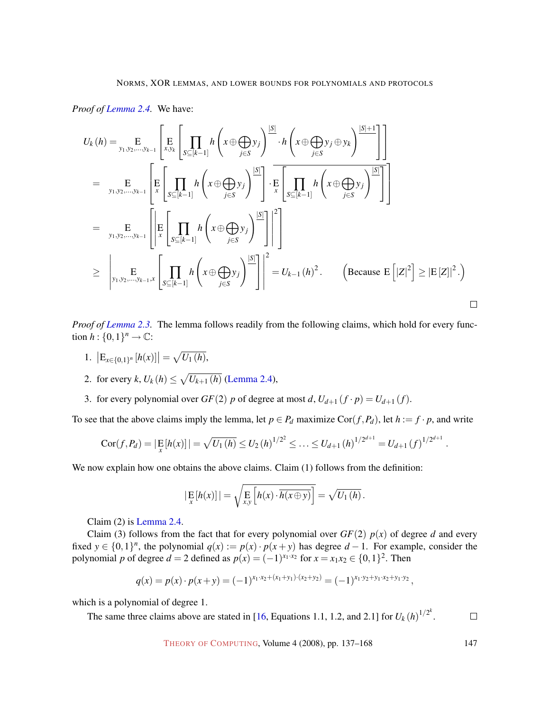## *Proof of [Lemma](#page-9-2) [2.4.](#page-9-2)* We have:

$$
U_{k}(h) = \underset{y_{1}, y_{2}, \ldots, y_{k-1}}{\operatorname{E}} \left[ \underset{x_{1}, y_{2}, \ldots, y_{k-1}}{\operatorname{E}} \left[ \underset{x_{2}, y_{k}}{\operatorname{E}} \left[ \underset{x \in [k-1]}{\prod} h \left( x \oplus \underset{j \in S}{\bigoplus} y_{j} \right) \frac{|S|}{\cdot} h \left( x \oplus \underset{j \in S}{\bigoplus} y_{j} \oplus y_{k} \right) \frac{|S| + 1}{\cdot} \right] \right]
$$
\n
$$
= \underset{y_{1}, y_{2}, \ldots, y_{k-1}}{\operatorname{E}} \left[ \underset{x}{\operatorname{E}} \left[ \underset{x \in [k-1]}{\prod} h \left( x \oplus \underset{j \in S}{\bigoplus} y_{j} \right) \frac{|S|}{\cdot} \right] \cdot \underset{x}{\operatorname{E}} \left[ \underset{x \in [k-1]}{\prod} h \left( x \oplus \underset{j \in S}{\bigoplus} y_{j} \right) \frac{|S|}{\cdot} \right] \right]
$$
\n
$$
\geq \underset{y_{1}, y_{2}, \ldots, y_{k-1}, x}{\operatorname{E}} \left[ \underset{x \in [k-1]}{\operatorname{E}} \left[ \underset{x \in [k-1]}{\prod} h \left( x \oplus \underset{j \in S}{\bigoplus} y_{j} \right) \frac{|S|}{\cdot} \right] \right]^{2} = U_{k-1}(h)^{2}. \qquad \text{(Because } \operatorname{E} \left[ |Z|^{2} \right] \geq |\operatorname{E} \left[ Z \right] |^{2} \cdot \text{)}
$$

*Proof of [Lemma](#page-9-0) [2.3.](#page-9-0)* The lemma follows readily from the following claims, which hold for every function  $h: \{0,1\}^n \to \mathbb{C}$ :

- 1.  $\left| \mathrm{E}_{x \in \{0,1\}^n} \left[ h(x) \right] \right| = \sqrt{U_1(h)},$
- 2. for every *k*,  $U_k(h) \le \sqrt{U_{k+1}(h)}$  [\(Lemma](#page-9-2) [2.4\)](#page-9-2),
- <span id="page-10-0"></span>3. for every polynomial over  $GF(2)$  *p* of degree at most *d*,  $U_{d+1}(f \cdot p) = U_{d+1}(f)$ .

To see that the above claims imply the lemma, let  $p \in P_d$  maximize  $Cor(f, P_d)$ , let  $h := f \cdot p$ , and write

$$
Cor(f, P_d) = |\mathop{\mathbb{E}}_x[h(x)]| = \sqrt{U_1(h)} \le U_2(h)^{1/2^2} \le \ldots \le U_{d+1}(h)^{1/2^{d+1}} = U_{d+1}(f)^{1/2^{d+1}}
$$

We now explain how one obtains the above claims. Claim (1) follows from the definition:

$$
\left|\mathop{\mathbf{E}}_x[h(x)]\right| = \sqrt{\mathop{\mathbf{E}}_x\left[h(x) \cdot \overline{h(x \oplus y)}\right]} = \sqrt{U_1(h)}.
$$

Claim (2) is [Lemma](#page-9-2) [2.4.](#page-9-2)

Claim (3) follows from the fact that for every polynomial over  $GF(2)$   $p(x)$  of degree *d* and every fixed  $y \in \{0,1\}^n$ , the polynomial  $q(x) := p(x) \cdot p(x+y)$  has degree  $d-1$ . For example, consider the polynomial *p* of degree  $d = 2$  defined as  $p(x) = (-1)^{x_1 \cdot x_2}$  for  $x = x_1 x_2 \in \{0, 1\}^2$ . Then

$$
q(x) = p(x) \cdot p(x+y) = (-1)^{x_1 \cdot x_2 + (x_1+y_1) \cdot (x_2+y_2)} = (-1)^{x_1 \cdot y_2 + y_1 \cdot x_2 + y_1 \cdot y_2},
$$

which is a polynomial of degree 1.

The same three claims above are stated in [\[16,](#page-28-5) Equations 1.1, 1.2, and 2.1] for  $U_k(h)^{1/2^k}$ .  $\Box$ 

THEORY OF C[OMPUTING](http://dx.doi.org/10.4086/toc), Volume 4 (2008), pp. 137–168 147

.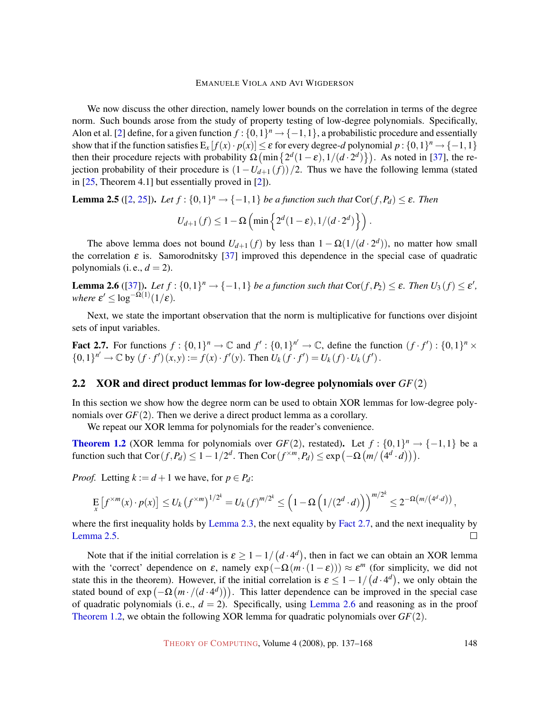We now discuss the other direction, namely lower bounds on the correlation in terms of the degree norm. Such bounds arose from the study of property testing of low-degree polynomials. Specifically, Alon et al. [\[2\]](#page-27-0) define, for a given function  $f: \{0,1\}^n \to \{-1,1\}$ , a probabilistic procedure and essentially show that if the function satisfies  $E_x[f(x) \cdot p(x)] \le \varepsilon$  for every degree-*d* polynomial  $p: \{0,1\}^n \to \{-1,1\}$ then their procedure rejects with probability  $\Omega$  (min  $\{2^d(1-\varepsilon), 1/(d \cdot 2^d)\}\)$ . As noted in [\[37\]](#page-30-5), the rejection probability of their procedure is  $(1-U_{d+1}(f))/2$ . Thus we have the following lemma (stated in [\[25,](#page-29-11) Theorem 4.1] but essentially proved in [\[2\]](#page-27-0)).

<span id="page-11-1"></span>**Lemma 2.5** ([\[2,](#page-27-0) [25\]](#page-29-11)). Let  $f : \{0,1\}^n \to \{-1,1\}$  be a function such that  $Cor(f, P_d) \leq \varepsilon$ . Then

$$
U_{d+1}(f) \leq 1 - \Omega\left(\min\left\{2^d(1-\varepsilon), 1/(d \cdot 2^d)\right\}\right).
$$

The above lemma does not bound  $U_{d+1}(f)$  by less than  $1 - \Omega(1/(d \cdot 2^d))$ , no matter how small the correlation  $\varepsilon$  is. Samorodnitsky [\[37\]](#page-30-5) improved this dependence in the special case of quadratic polynomials (i. e.,  $d = 2$ ).

<span id="page-11-2"></span>**Lemma 2.6** ([\[37\]](#page-30-5)). Let  $f : \{0,1\}^n \to \{-1,1\}$  be a function such that  $Cor(f, P_2) \leq \varepsilon$ . Then  $U_3(f) \leq \varepsilon'$ , *where*  $\varepsilon' \leq \log^{-\Omega(1)}(1/\varepsilon)$ *.* 

Next, we state the important observation that the norm is multiplicative for functions over disjoint sets of input variables.

<span id="page-11-0"></span>Fact 2.7. For functions  $f: \{0,1\}^n \to \mathbb{C}$  and  $f': \{0,1\}^{n'} \to \mathbb{C}$ , define the function  $(f \cdot f') : \{0,1\}^n \times$  $\{0,1\}^{n'} \to \mathbb{C}$  by  $(f \cdot f')(x, y) := f(x) \cdot f'(y)$ . Then  $U_k(f \cdot f') = U_k(f) \cdot U_k(f')$ .

# 2.2 XOR and direct product lemmas for low-degree polynomials over *GF*(2)

In this section we show how the degree norm can be used to obtain XOR lemmas for low-degree polynomials over *GF*(2). Then we derive a direct product lemma as a corollary.

We repeat our XOR lemma for polynomials for the reader's convenience.

**Theorem [1.2](#page-3-0)** [\(XOR lemma for polynomials over](#page-3-0)  $GF(2)$ , restated). Let  $f: \{0,1\}^n \rightarrow \{-1,1\}$  be a function such that  $Cor(f, P_d) \leq 1 - 1/2^d$ . Then  $Cor(f^{\times m}, P_d) \leq exp(-\Omega(m/(4^d \cdot d)))$ .

*Proof.* Letting  $k := d + 1$  we have, for  $p \in P_d$ :

$$
\mathop{\mathbb{E}}_x \left[ f^{\times m}(x) \cdot p(x) \right] \leq U_k \left( f^{\times m} \right)^{1/2^k} = U_k \left( f \right)^{m/2^k} \leq \left( 1 - \Omega \left( 1/(2^d \cdot d) \right) \right)^{m/2^k} \leq 2^{-\Omega \left( m/(4^d \cdot d) \right)},
$$

where the first inequality holds by Lemma [2.3, the next equality by](#page-9-0) Fact [2.7, and the next inequality by](#page-9-0) [Lemma](#page-11-1) [2.5.](#page-11-1) П

<span id="page-11-3"></span>Note that if the initial correlation is  $\epsilon \geq 1 - 1/(d \cdot 4^d)$ , then in fact we can obtain an XOR lemma with the 'correct' dependence on  $\varepsilon$ , namely  $\exp(-\Omega(m \cdot (1 - \varepsilon))) \approx \varepsilon^m$  (for simplicity, we did not state this in the theorem). However, if the initial correlation is  $\varepsilon \leq 1 - 1/(d \cdot 4^d)$ , we only obtain the stated bound of  $exp(-\Omega(m\cdot/(d\cdot 4^d)))$ . This latter dependence can be improved in the special case of quadratic polynomials (i.e.,  $d = 2$ ). Specifically, using Lemma [2.6](#page-11-2) [and reasoning as in the proof](#page-11-2) Theorem [1.2, we obtain the following XOR lemma for quadratic polynomials over](#page-3-0) *GF*(2).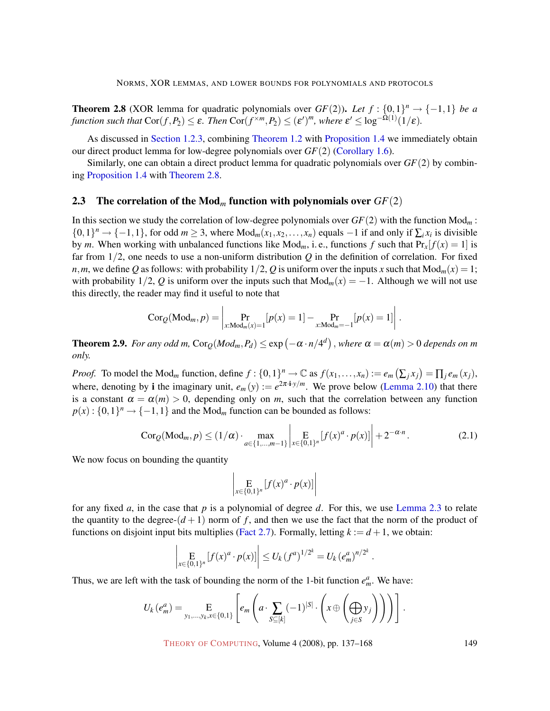**Theorem 2.8** (XOR lemma for quadratic polynomials over  $GF(2)$ ). Let  $f: \{0,1\}^n \rightarrow \{-1,1\}$  be a *function such that*  $\text{Cor}(f, P_2) \leq \varepsilon$ . *Then*  $\text{Cor}(f^{×m}, P_2) \leq (\varepsilon')^m$ , where  $\varepsilon' \leq \log^{-\tilde{\Omega}(1)}(1/\varepsilon)$ .

As discussed in Section [1.2.3, combining](#page-5-1) Theorem [1.2](#page-3-0) with Proposition [1.4](#page-5-0) [we immediately obtain](#page-5-1) our direct product lemma for low-degree polynomials over *GF*(2) [\(Corollary](#page-6-0) [1.6\)](#page-6-0).

Similarly, one can obtain a direct product lemma for quadratic polynomials over *GF*(2) by combining [Proposition](#page-5-0) [1.4](#page-5-0) with [Theorem](#page-5-0) [2.8.](#page-11-3)

#### <span id="page-12-0"></span>2.3 The correlation of the Mod*<sup>m</sup>* function with polynomials over *GF*(2)

In this section we study the correlation of low-degree polynomials over *GF*(2) with the function Mod*<sup>m</sup>* : {0,1}<sup>*n*</sup> → {-1,1}, for odd *m* ≥ 3, where Mod<sub>*m*</sub>( $x_1, x_2, ..., x_n$ ) equals -1 if and only if  $\sum_i x_i$  is divisible by *m*. When working with unbalanced functions like  $Mod_m$ , i.e., functions *f* such that  $Pr_x[f(x) = 1]$  is far from 1/2, one needs to use a non-uniform distribution *Q* in the definition of correlation. For fixed *n*, *m*, we define *Q* as follows: with probability  $1/2$ , *Q* is uniform over the inputs *x* such that  $Mod_m(x) = 1$ ; with probability  $1/2$ , Q is uniform over the inputs such that  $Mod_m(x) = -1$ . Although we will not use this directly, the reader may find it useful to note that

$$
Cor_Q(\text{Mod}_m, p) = \left| \Pr_{x: \text{Mod}_m(x) = 1} [p(x) = 1] - \Pr_{x: \text{Mod}_m = -1} [p(x) = 1] \right|.
$$

<span id="page-12-2"></span>**Theorem 2.9.** For any odd m,  $\text{Cor}_{Q}(Mod_m, P_d) \leq \exp(-\alpha \cdot n/4^d)$  , where  $\alpha = \alpha(m) > 0$  depends on m *only.*

*Proof.* To model the Mod<sub>m</sub> function, define  $f: \{0,1\}^n \to \mathbb{C}$  as  $f(x_1,...,x_n) := e_m(\sum_j x_j) = \prod_j e_m(x_j)$ , where, denoting by **i** the imaginary unit,  $e_m(y) := e^{2\pi i y/m}$ . We prove below (Lemma [2.10\) that there](#page-13-0) is a constant  $\alpha = \alpha(m) > 0$ , depending only on *m*, such that the correlation between any function  $p(x): \{0,1\}^n \rightarrow \{-1,1\}$  and the Mod<sub>m</sub> function can be bounded as follows:

<span id="page-12-1"></span>
$$
Cor_{\mathcal{Q}}(Mod_m, p) \le (1/\alpha) \cdot \max_{a \in \{1, \dots, m-1\}} \left| \mathop{E}_{x \in \{0,1\}^n} [f(x)^a \cdot p(x)] \right| + 2^{-\alpha \cdot n}.
$$
 (2.1)

.

We now focus on bounding the quantity

$$
\left|\mathop{\mathbf{E}}_{x \in \{0,1\}^n} [f(x)^a \cdot p(x)]\right|
$$

for any fixed *a*, in the case that *p* is a polynomial of degree *d*. For this, we use Lemma [2.3](#page-9-0) [to relate](#page-9-0) the quantity to the degree- $(d+1)$  norm of f, and then we use the fact that the norm of the product of functions on disjoint input bits multiplies (Fact [2.7\). Formally, letting](#page-11-0)  $k := d + 1$ , we obtain:

$$
\left| \underset{x \in \{0,1\}^n}{\mathbf{E}} \left[ f(x)^a \cdot p(x) \right] \right| \le U_k \left( f^a \right)^{1/2^k} = U_k \left( e^a_m \right)^{n/2^k}
$$

Thus, we are left with the task of bounding the norm of the 1-bit function  $e_m^a$ . We have:

$$
U_k(e_m^a) = \underset{y_1,\ldots,y_k,x\in\{0,1\}}{\mathbf{E}}\left[e_m\left(a\cdot\underset{S\subseteq[k]}{\sum}(-1)^{|S|}\cdot\left(x\oplus\left(\underset{j\in S}{\bigoplus}y_j\right)\right)\right)\right].
$$

THEORY OF C[OMPUTING](http://dx.doi.org/10.4086/toc), Volume 4 (2008), pp. 137–168 149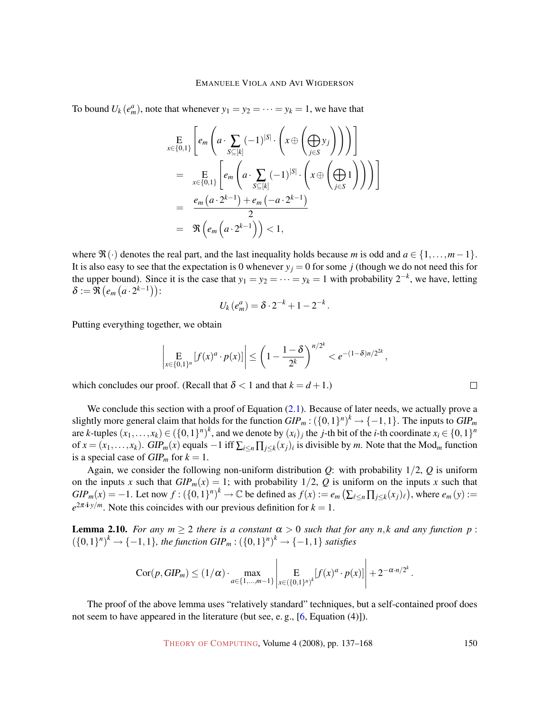To bound  $U_k(e_m^a)$ , note that whenever  $y_1 = y_2 = \cdots = y_k = 1$ , we have that

$$
\mathop{\mathbf{E}}_{x \in \{0,1\}} \left[ e_m \left( a \cdot \sum_{S \subseteq [k]} (-1)^{|S|} \cdot \left( x \oplus \left( \bigoplus_{j \in S} y_j \right) \right) \right) \right]
$$
\n
$$
= \mathop{\mathbf{E}}_{x \in \{0,1\}} \left[ e_m \left( a \cdot \sum_{S \subseteq [k]} (-1)^{|S|} \cdot \left( x \oplus \left( \bigoplus_{j \in S} 1 \right) \right) \right) \right]
$$
\n
$$
= \frac{e_m \left( a \cdot 2^{k-1} \right) + e_m \left( -a \cdot 2^{k-1} \right)}{2}
$$
\n
$$
= \mathfrak{R} \left( e_m \left( a \cdot 2^{k-1} \right) \right) < 1,
$$

where  $\mathfrak{R}(\cdot)$  denotes the real part, and the last inequality holds because *m* is odd and  $a \in \{1, \ldots, m-1\}$ . It is also easy to see that the expectation is 0 whenever  $y_j = 0$  for some *j* (though we do not need this for the upper bound). Since it is the case that  $y_1 = y_2 = \cdots = y_k = 1$  with probability  $2^{-k}$ , we have, letting  $\delta := \Re\left(e_m\left(a\cdot 2^{k-1}\right)\right)$ :

$$
U_k(e_m^a) = \delta \cdot 2^{-k} + 1 - 2^{-k}.
$$

Putting everything together, we obtain

$$
\left|\mathop{\mathbf{E}}_{x \in \{0,1\}^n} [f(x)^a \cdot p(x)]\right| \le \left(1 - \frac{1 - \delta}{2^k}\right)^{n/2^k} < e^{-(1 - \delta)n/2^{2k}},
$$

which concludes our proof. (Recall that  $\delta$  < 1 and that  $k = d + 1$ .)

We conclude this section with a proof of Equation [\(2.1\)](#page-12-1). Because of later needs, we actually prove a slightly more general claim that holds for the function  $GIP_m$ :  $({0,1})^n$ <sup>k</sup>  $\rightarrow$   ${-1,1}$ . The inputs to  $GIP_m$ are *k*-tuples  $(x_1, \ldots, x_k) \in (\{0,1\}^n)^k$ , and we denote by  $(x_i)_j$  the *j*-th bit of the *i*-th coordinate  $x_i \in \{0,1\}^n$ of  $x = (x_1, \ldots, x_k)$ . GIP<sub>m</sub>(*x*) equals  $-1$  iff  $\sum_{i \leq n} \prod_{j \leq k} (x_j)_i$  is divisible by *m*. Note that the Mod<sub>*m*</sub> function is a special case of  $GIP_m$  for  $k = 1$ .

Again, we consider the following non-uniform distribution  $Q$ : with probability  $1/2$ ,  $Q$  is uniform on the inputs *x* such that  $GIP_m(x) = 1$ ; with probability  $1/2$ , Q is uniform on the inputs *x* such that  $GIP_m(x) = -1$ . Let now  $f: (\{0,1\}^n)^k \to \mathbb{C}$  be defined as  $f(x) := e_m\left(\sum_{\ell \leq n} \prod_{j \leq k} (x_j)_{\ell}\right)$ , where  $e_m(y) :=$  $e^{2\pi i y/m}$ . Note this coincides with our previous definition for  $k = 1$ .

<span id="page-13-0"></span>**Lemma 2.10.** *For any*  $m \ge 2$  *there is a constant*  $\alpha > 0$  *such that for any n,k and any function*  $p$ :  $({0,1}^n)^k$  →  ${-1,1}$ *, the function GIP<sub><i>m*</sub></sub> :  $({0,1}^n)^k$  →  ${-1,1}$ *satisfies* 

$$
Cor(p, GIP_m) \leq (1/\alpha) \cdot \max_{a \in \{1, ..., m-1\}} \left| E_{x \in (\{0, 1\}^n)^k} [f(x)^a \cdot p(x)] \right| + 2^{-\alpha \cdot n/2^k}.
$$

The proof of the above lemma uses "relatively standard" techniques, but a self-contained proof does not seem to have appeared in the literature (but see, e. g., [\[6,](#page-28-4) Equation (4)]).

 $\Box$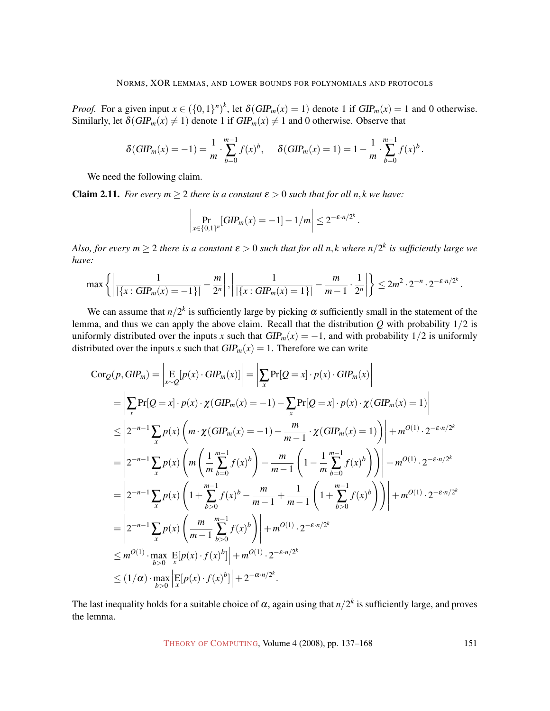*Proof.* For a given input  $x \in (\{0,1\}^n)^k$ , let  $\delta(GIP_m(x) = 1)$  denote 1 if  $GIP_m(x) = 1$  and 0 otherwise. Similarly, let  $\delta(GIP_m(x) \neq 1)$  denote 1 if  $GIP_m(x) \neq 1$  and 0 otherwise. Observe that

$$
\delta(GIP_m(x) = -1) = \frac{1}{m} \cdot \sum_{b=0}^{m-1} f(x)^b, \quad \delta(GIP_m(x) = 1) = 1 - \frac{1}{m} \cdot \sum_{b=0}^{m-1} f(x)^b.
$$

We need the following claim.

<span id="page-14-0"></span>**Claim 2.11.** *For every m*  $\geq$  2 *there is a constant*  $\varepsilon$   $>$  0 *such that for all n,k we have:* 

$$
\left| \Pr_{x \in \{0,1\}^n}[\text{GIP}_m(x) = -1] - 1/m \right| \leq 2^{-\varepsilon \cdot n/2^k}.
$$

Also, for every  $m \geq 2$  there is a constant  $\varepsilon > 0$  such that for all n, k where  $n/2^k$  is sufficiently large we *have:*

$$
\max\left\{\left|\frac{1}{|\{x:GIP_m(x)=-1\}|}-\frac{m}{2^n}\right|,\left|\frac{1}{|\{x:GIP_m(x)=1\}|}-\frac{m}{m-1}\cdot\frac{1}{2^n}\right|\right\}\leq 2m^2\cdot 2^{-n}\cdot 2^{-\epsilon\cdot n/2^k}.
$$

We can assume that  $n/2^k$  is sufficiently large by picking  $\alpha$  sufficiently small in the statement of the lemma, and thus we can apply the above claim. Recall that the distribution  $Q$  with probability  $1/2$  is uniformly distributed over the inputs *x* such that  $GIP_m(x) = -1$ , and with probability 1/2 is uniformly distributed over the inputs *x* such that  $GIP_m(x) = 1$ . Therefore we can write

$$
Cor_{Q}(p, GIP_{m}) = \left| \sum_{x \sim Q} [p(x) \cdot GIP_{m}(x)] \right| = \left| \sum_{x} Pr[Q = x] \cdot p(x) \cdot GIP_{m}(x) \right|
$$
  
\n
$$
= \left| \sum_{x} Pr[Q = x] \cdot p(x) \cdot \chi(GIP_{m}(x) = -1) - \sum_{x} Pr[Q = x] \cdot p(x) \cdot \chi(GIP_{m}(x) = 1) \right|
$$
  
\n
$$
\leq 2^{-n-1} \sum_{x} p(x) \left( m \cdot \chi(GIP_{m}(x) = -1) - \frac{m}{m-1} \cdot \chi(GIP_{m}(x) = 1) \right) + m^{O(1)} \cdot 2^{-\varepsilon n/2^{k}}
$$
  
\n
$$
= 2^{-n-1} \sum_{x} p(x) \left( m \left( \frac{1}{m} \sum_{b=0}^{m-1} f(x)^{b} \right) - \frac{m}{m-1} \left( 1 - \frac{1}{m} \sum_{b=0}^{m-1} f(x)^{b} \right) \right) + m^{O(1)} \cdot 2^{-\varepsilon n/2^{k}}
$$
  
\n
$$
= 2^{-n-1} \sum_{x} p(x) \left( 1 + \sum_{b>0}^{m-1} f(x)^{b} - \frac{m}{m-1} + \frac{1}{m-1} \left( 1 + \sum_{b>0}^{m-1} f(x)^{b} \right) \right) + m^{O(1)} \cdot 2^{-\varepsilon n/2^{k}}
$$
  
\n
$$
= 2^{-n-1} \sum_{x} p(x) \left( \frac{m}{m-1} \sum_{b>0}^{m-1} f(x)^{b} \right) + m^{O(1)} \cdot 2^{-\varepsilon n/2^{k}}
$$
  
\n
$$
\leq m^{O(1)} \cdot \max_{b>0} \left| \sum_{x} [p(x) \cdot f(x)^{b}] \right| + m^{O(1)} \cdot 2^{-\varepsilon n/2^{k}}
$$
  
\n
$$
\leq (1/\alpha) \cdot \max_{b>0} \left| \sum_{x} [p(x) \cdot f(x)^{b}] \right| + 2^{-\alpha n/2^{k}}.
$$

The last inequality holds for a suitable choice of  $\alpha$ , again using that  $n/2^k$  is sufficiently large, and proves the lemma.

THEORY OF C[OMPUTING](http://dx.doi.org/10.4086/toc), Volume 4 (2008), pp. 137–168 151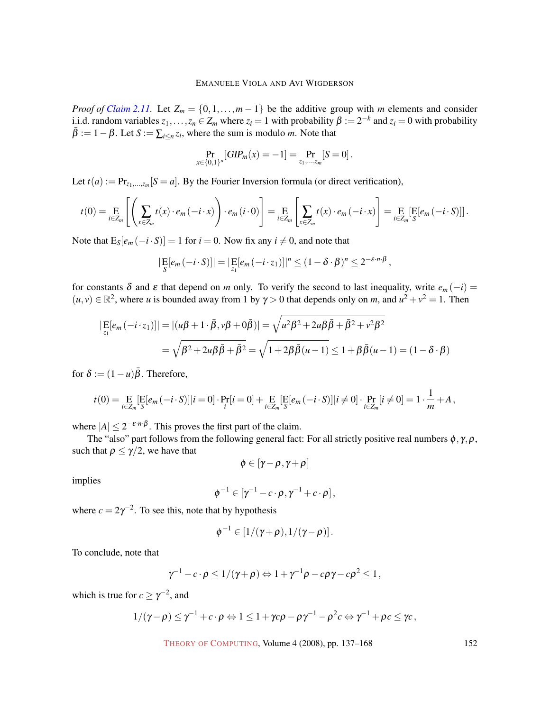*Proof of [Claim](#page-14-0)* [2.11.](#page-14-0) Let  $Z_m = \{0, 1, \ldots, m-1\}$  be the additive group with *m* elements and consider i.i.d. random variables  $z_1, \ldots, z_n \in Z_m$  where  $z_i = 1$  with probability  $\beta := 2^{-k}$  and  $z_i = 0$  with probability  $\bar{\beta} := 1 - \beta$ . Let  $S := \sum_{i \leq n} z_i$ , where the sum is modulo *m*. Note that

$$
\Pr_{x \in \{0,1\}^n}[\text{GIP}_m(x) = -1] = \Pr_{z_1, \dots, z_m}[\text{S} = 0].
$$

Let  $t(a) := Pr_{z_1,...,z_m}[S = a]$ . By the Fourier Inversion formula (or direct verification),

$$
t(0) = \underset{i \in Z_m}{\mathrm{E}} \left[ \left( \sum_{x \in Z_m} t(x) \cdot e_m(-i \cdot x) \right) \cdot e_m(i \cdot 0) \right] = \underset{i \in Z_m}{\mathrm{E}} \left[ \sum_{x \in Z_m} t(x) \cdot e_m(-i \cdot x) \right] = \underset{i \in Z_m}{\mathrm{E}} \left[ \underset{S}{\mathrm{E}} [e_m(-i \cdot S)] \right].
$$

Note that  $E_S[e_m(-i \cdot S)] = 1$  for  $i = 0$ . Now fix any  $i \neq 0$ , and note that

$$
\left|\mathop{\mathrm{E}}_S[e_m(-i\cdot S)]\right| = \left|\mathop{\mathrm{E}}_{z_1}[e_m(-i\cdot z_1)]\right|^n \leq (1-\delta\cdot\beta)^n \leq 2^{-\varepsilon\cdot n\cdot\beta},
$$

for constants  $\delta$  and  $\varepsilon$  that depend on *m* only. To verify the second to last inequality, write  $e_m(-i)$  $(u, v) \in \mathbb{R}^2$ , where *u* is bounded away from 1 by  $\gamma > 0$  that depends only on *m*, and  $u^2 + v^2 = 1$ . Then

$$
\begin{aligned} \left| \mathop{\mathbf{E}}_{z_1} [e_m(-i \cdot z_1)] \right| &= |(u\beta + 1 \cdot \bar{\beta}, v\beta + 0\bar{\beta})| = \sqrt{u^2 \beta^2 + 2u \beta \bar{\beta} + \bar{\beta}^2 + v^2 \beta^2} \\ &= \sqrt{\beta^2 + 2u \beta \bar{\beta} + \bar{\beta}^2} = \sqrt{1 + 2\beta \bar{\beta}(u - 1)} \le 1 + \beta \bar{\beta}(u - 1) = (1 - \delta \cdot \beta) \end{aligned}
$$

for  $\delta := (1 - u)\overline{\beta}$ . Therefore,

$$
t(0) = \underset{i \in Z_m}{\text{E}} \left[ \underset{S}{\text{E}} [e_m(-i \cdot S)] | i = 0 \right] \cdot \underset{i}{\text{Pr}} [i = 0] + \underset{i \in Z_m}{\text{E}} \left[ \underset{S}{\text{E}} [e_m(-i \cdot S)] | i \neq 0 \right] \cdot \underset{i \in Z_m}{\text{Pr}} [i \neq 0] = 1 \cdot \frac{1}{m} + A,
$$

where  $|A| \leq 2^{-\varepsilon \cdot n \cdot \beta}$ . This proves the first part of the claim.

The "also" part follows from the following general fact: For all strictly positive real numbers  $\phi$ ,  $\gamma$ ,  $\rho$ , such that  $\rho \le \gamma/2$ , we have that

$$
\phi\in[\gamma\!-\!\rho,\gamma\!+\!\rho]
$$

implies

$$
\phi^{-1}\in[\gamma^{-1}-c\cdot\rho,\gamma^{-1}+c\cdot\rho],
$$

where  $c = 2\gamma^{-2}$ . To see this, note that by hypothesis

$$
\phi^{-1}\in [1/(\gamma+\rho),1/(\gamma-\rho)].
$$

To conclude, note that

$$
\gamma^{-1} - c \cdot \rho \le 1/(\gamma + \rho) \Leftrightarrow 1 + \gamma^{-1} \rho - c \rho \gamma - c \rho^2 \le 1,
$$

which is true for  $c \ge \gamma^{-2}$ , and

$$
1/(\gamma - \rho) \leq \gamma^{-1} + c \cdot \rho \Leftrightarrow 1 \leq 1 + \gamma c \rho - \rho \gamma^{-1} - \rho^2 c \Leftrightarrow \gamma^{-1} + \rho c \leq \gamma c,
$$

THEORY OF C[OMPUTING](http://dx.doi.org/10.4086/toc), Volume 4 (2008), pp. 137-168 152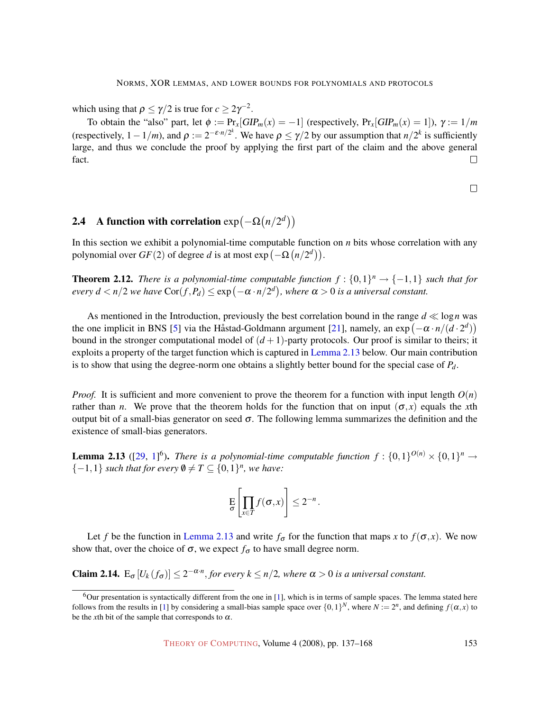which using that  $\rho \le \gamma/2$  is true for  $c \ge 2\gamma^{-2}$ .

To obtain the "also" part, let  $\phi := \Pr_x[GIP_m(x) = -1]$  (respectively,  $\Pr_x[GIP_m(x) = 1]$ ),  $\gamma := 1/m$ (respectively,  $1 - 1/m$ ), and  $\rho := 2^{-\varepsilon \cdot n/2^k}$ . We have  $\rho \le \gamma/2$  by our assumption that  $n/2^k$  is sufficiently large, and thus we conclude the proof by applying the first part of the claim and the above general fact.  $\Box$ 

 $\Box$ 

# **2.4** A function with correlation  $exp(-\Omega(n/2^d))$

In this section we exhibit a polynomial-time computable function on *n* bits whose correlation with any polynomial over  $GF(2)$  of degree *d* is at most  $exp(-\Omega(n/2^d))$ .

<span id="page-16-2"></span>**Theorem 2.12.** *There is a polynomial-time computable function*  $f: \{0,1\}^n \rightarrow \{-1,1\}$  *such that for every d*  $\langle n/2 \rangle$  *we have*  $\text{Cor}(f, P_d) \leq \exp(-\alpha \cdot n/2^d)$ , where  $\alpha > 0$  is a universal constant.

As mentioned in the Introduction, previously the best correlation bound in the range  $d \ll \log n$  was the one implicit in BNS [\[5\]](#page-28-1) via the Håstad-Goldmann argument [[21\]](#page-29-8), namely, an  $\exp(-\alpha \cdot n/(d \cdot 2^d))$ bound in the stronger computational model of  $(d+1)$ -party protocols. Our proof is similar to theirs; it exploits a property of the target function which is captured in Lemma [2.13](#page-16-0) [below. Our main contribution](#page-16-0) is to show that using the degree-norm one obtains a slightly better bound for the special case of *Pd*.

*Proof.* It is sufficient and more convenient to prove the theorem for a function with input length  $O(n)$ rather than *n*. We prove that the theorem holds for the function that on input  $(\sigma, x)$  equals the *x*th output bit of a small-bias generator on seed  $\sigma$ . The following lemma summarizes the definition and the existence of small-bias generators.

<span id="page-16-0"></span>**Lemma 2.13** ([\[29,](#page-29-10) [1\]](#page-27-2)<sup>6</sup>). *There is a polynomial-time computable function*  $f: \{0,1\}^{O(n)} \times \{0,1\}^n \rightarrow$  ${-1, 1}$  *such that for every*  $\emptyset \neq T \subseteq \{0, 1\}^n$ *, we have:* 

$$
\mathop{\mathsf{E}}_{\boldsymbol{\sigma}}\left[\prod_{x\in T}f(\boldsymbol{\sigma},x)\right]\leq 2^{-n}.
$$

Let *f* be the function in Lemma [2.13](#page-16-0) and write  $f_{\sigma}$  [for the function that maps](#page-16-0) *x* to  $f(\sigma, x)$ . We now show that, over the choice of  $\sigma$ , we expect  $f_{\sigma}$  to have small degree norm.

<span id="page-16-1"></span>**Claim 2.14.**  $E_{\sigma}[U_k(f_{\sigma})] \leq 2^{-\alpha \cdot n}$ , for every  $k \leq n/2$ , where  $\alpha > 0$  is a universal constant.

 $6$ Our presentation is syntactically different from the one in [\[1\]](#page-27-2), which is in terms of sample spaces. The lemma stated here follows from the results in [\[1\]](#page-27-2) by considering a small-bias sample space over  $\{0,1\}^N$ , where  $N := 2^n$ , and defining  $f(\alpha, x)$  to be the *x*th bit of the sample that corresponds to  $\alpha$ .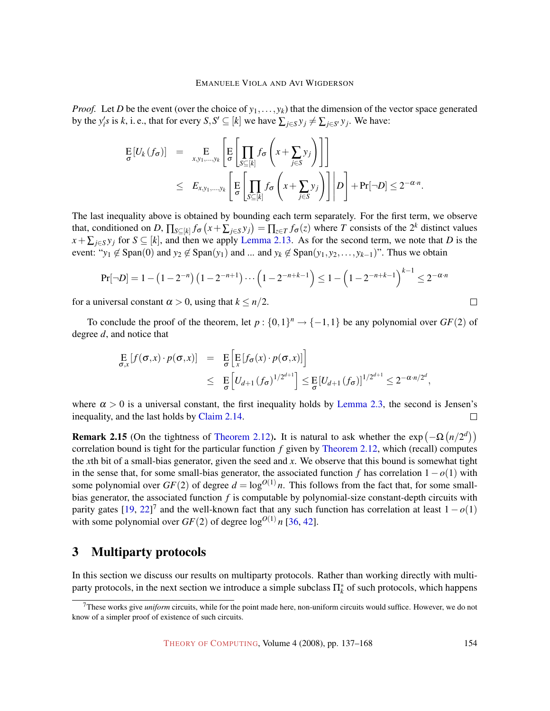*Proof.* Let *D* be the event (over the choice of *y*1,...,*yk*) that the dimension of the vector space generated by the  $y'_i s$  is *k*, i. e., that for every  $S, S' \subseteq [k]$  we have  $\sum_{j \in S} y_j \neq \sum_{j \in S'} y_j$ . We have:

$$
\begin{array}{rcl}\n\mathbf{E}[U_k(f_{\sigma})] & = & \mathop{\mathbf{E}}_{x,y_1,\ldots,y_k} \left[ \mathop{\mathbf{E}}_{\sigma} \left[ \prod_{S \subseteq [k]} f_{\sigma} \left( x + \sum_{j \in S} y_j \right) \right] \right] \\
& \leq & E_{x,y_1,\ldots,y_k} \left[ \mathop{\mathbf{E}}_{\sigma} \left[ \prod_{S \subseteq [k]} f_{\sigma} \left( x + \sum_{j \in S} y_j \right) \right] \middle| D \right] + \Pr[\neg D] \leq 2^{-\alpha \cdot n}.\n\end{array}
$$

The last inequality above is obtained by bounding each term separately. For the first term, we observe that, conditioned on *D*,  $\prod_{S \subseteq [k]} f_{\sigma}(x + \sum_{j \in S} y_j) = \prod_{z \in T} f_{\sigma}(z)$  where *T* consists of the 2<sup>*k*</sup> distinct values  $x + \sum_{j \in S} y_j$  for  $S \subseteq [k]$ , and then we apply Lemma [2.13. As for the second term, we note that](#page-16-0) *D* is the event: " $y_1 \notin \text{Span}(0)$  and  $y_2 \notin \text{Span}(y_1)$  and ... and  $y_k \notin \text{Span}(y_1, y_2, \ldots, y_{k-1})$ ". Thus we obtain

$$
Pr[\neg D] = 1 - (1 - 2^{-n}) (1 - 2^{-n+1}) \cdots (1 - 2^{-n+k-1}) \le 1 - (1 - 2^{-n+k-1})^{k-1} \le 2^{-\alpha \cdot n}
$$

for a universal constant  $\alpha > 0$ , using that  $k \leq n/2$ .

To conclude the proof of the theorem, let  $p: \{0,1\}^n \to \{-1,1\}$  be any polynomial over  $GF(2)$  of degree *d*, and notice that

$$
\mathop{\mathbf{E}}_{\sigma,x}[f(\sigma,x)\cdot p(\sigma,x)] = \mathop{\mathbf{E}}_{\sigma}[\mathop{\mathbf{E}}_{x}[f_{\sigma}(x)\cdot p(\sigma,x)]]
$$
\n
$$
\leq \mathop{\mathbf{E}}_{\sigma}[U_{d+1}(f_{\sigma})^{1/2^{d+1}}] \leq \mathop{\mathbf{E}}_{\sigma}[U_{d+1}(f_{\sigma})]^{1/2^{d+1}} \leq 2^{-\alpha \cdot n/2^{d}},
$$

where  $\alpha > 0$  is a universal constant, the first inequality holds by Lemma [2.3, the second is Jensen's](#page-9-0) inequality, and the last holds by [Claim](#page-16-1) [2.14.](#page-16-1)  $\Box$ 

<span id="page-17-1"></span>**Remark 2.15** (On the tightness of Theorem [2.12\)](#page-16-2). It is natural to ask whether the  $\exp(-\Omega(n/2^d))$ correlation bound is tight for the particular function *f* given by Theorem [2.12, which \(recall\) computes](#page-16-2) the *x*th bit of a small-bias generator, given the seed and *x*. We observe that this bound is somewhat tight in the sense that, for some small-bias generator, the associated function *f* has correlation 1−*o*(1) with some polynomial over  $GF(2)$  of degree  $d = \log^{O(1)} n$ . This follows from the fact that, for some smallbias generator, the associated function *f* is computable by polynomial-size constant-depth circuits with parity gates  $[19, 22]^7$  $[19, 22]^7$  $[19, 22]^7$  $[19, 22]^7$  and the well-known fact that any such function has correlation at least  $1 - o(1)$ with some polynomial over  $GF(2)$  of degree  $\log^{O(1)} n$  [\[36,](#page-30-4) [42\]](#page-30-13).

# <span id="page-17-0"></span>3 Multiparty protocols

In this section we discuss our results on multiparty protocols. Rather than working directly with multiparty protocols, in the next section we introduce a simple subclass  $\Pi_k^*$  of such protocols, which happens

 $\Box$ 

<sup>7</sup>These works give *uniform* circuits, while for the point made here, non-uniform circuits would suffice. However, we do not know of a simpler proof of existence of such circuits.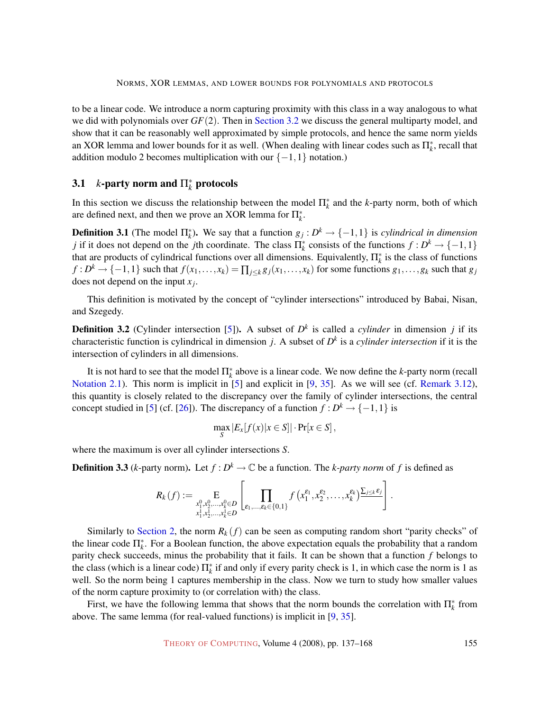to be a linear code. We introduce a norm capturing proximity with this class in a way analogous to what we did with polynomials over *GF*(2). Then in Section [3.2](#page-20-0) [we discuss the general multiparty model, and](#page-20-0) show that it can be reasonably well approximated by simple protocols, and hence the same norm yields an XOR lemma and lower bounds for it as well. (When dealing with linear codes such as  $\Pi_k^*$ , recall that addition modulo 2 becomes multiplication with our  $\{-1,1\}$  notation.)

# <span id="page-18-1"></span>**3.1** *k*-party norm and  $\Pi_k^*$  protocols

In this section we discuss the relationship between the model  $\Pi^*_k$  and the *k*-party norm, both of which are defined next, and then we prove an XOR lemma for  $\Pi_k^*$ .

<span id="page-18-2"></span>**Definition 3.1** (The model  $\Pi_k^*$ ). We say that a function  $g_j: D^k \to \{-1,1\}$  is *cylindrical in dimension j* if it does not depend on the *j*th coordinate. The class  $\Pi_k^*$  consists of the functions  $f: D^k \to \{-1,1\}$ that are products of cylindrical functions over all dimensions. Equivalently,  $\Pi_k^*$  is the class of functions  $f: D^k \to \{-1,1\}$  such that  $f(x_1,...,x_k) = \prod_{j\leq k} g_j(x_1,...,x_k)$  for some functions  $g_1,...,g_k$  such that  $g_j$ does not depend on the input *x<sup>j</sup>* .

This definition is motivated by the concept of "cylinder intersections" introduced by Babai, Nisan, and Szegedy.

<span id="page-18-3"></span>**Definition 3.2** (Cylinder intersection [\[5\]](#page-28-1)). A subset of  $D<sup>k</sup>$  is called a *cylinder* in dimension *j* if its characteristic function is cylindrical in dimension *j*. A subset of *D k* is a *cylinder intersection* if it is the intersection of cylinders in all dimensions.

It is not hard to see that the model  $\prod_{k=1}^{k}$  above is a linear code. We now define the *k*-party norm (recall Notation [2.1\). This norm is implicit in \[5\] and explicit in \[9,](#page-9-3) [35\]](#page-30-9). As we will see (cf. [Remark](#page-23-0) [3.12\)](#page-23-0), this quantity is closely related to the discrepancy over the family of cylinder intersections, the central concept studied in [\[5\]](#page-28-1) (cf. [\[26\]](#page-29-7)). The discrepancy of a function  $f: D^k \to \{-1,1\}$  is

$$
\max_{S} |E_x[f(x)|x \in S]| \cdot \Pr[x \in S],
$$

where the maximum is over all cylinder intersections *S*.

<span id="page-18-4"></span>**Definition 3.3** (*k*-party norm). Let  $f: D^k \to \mathbb{C}$  be a function. The *k*-party norm of f is defined as

$$
R_k(f) := \mathop{\mathbf{E}}_{\substack{x_1^0, x_2^0, \ldots, x_k^0 \in D \\ x_1^1, x_2^1, \ldots, x_k^1 \in D}} \left[ \prod_{\varepsilon_1, \ldots, \varepsilon_k \in \{0, 1\}} f\left(x_1^{\varepsilon_1}, x_2^{\varepsilon_2}, \ldots, x_k^{\varepsilon_k}\right) \frac{\sum_{j \leq k} \varepsilon_j}{\varepsilon_j} \right].
$$

Similarly to Section [2,](#page-9-1) the norm  $R_k(f)$  [can be seen as computing random short "parity checks" of](#page-9-1) the linear code  $\Pi_k^*$ . For a Boolean function, the above expectation equals the probability that a random parity check succeeds, minus the probability that it fails. It can be shown that a function *f* belongs to the class (which is a linear code)  $\Pi_k^*$  if and only if every parity check is 1, in which case the norm is 1 as well. So the norm being 1 captures membership in the class. Now we turn to study how smaller values of the norm capture proximity to (or correlation with) the class.

<span id="page-18-0"></span>First, we have the following lemma that shows that the norm bounds the correlation with  $\prod_{k=1}^{*}$  from above. The same lemma (for real-valued functions) is implicit in [\[9,](#page-28-7) [35\]](#page-30-9).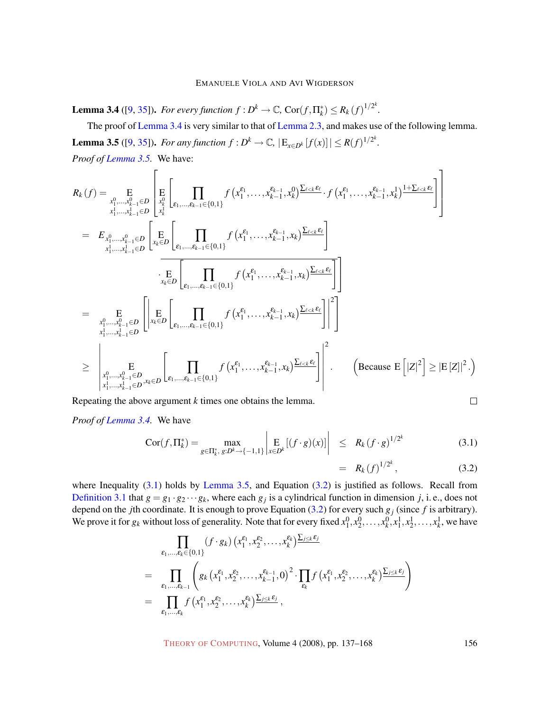**Lemma 3.4** ([\[9,](#page-28-7) [35\]](#page-30-9)). For every function  $f : D^k \to \mathbb{C}$ ,  $Cor(f, \Pi^*_k) \leq R_k(f)^{1/2^k}$ .

<span id="page-19-0"></span>The proof of Lemma [3.4](#page-18-0) [is very similar to that of](#page-18-0) Lemma [2.3, and makes use of the following lemma.](#page-18-0) **Lemma 3.5** ([\[9,](#page-28-7) [35\]](#page-30-9)). For any function  $f : D^k \to \mathbb{C}$ ,  $|E_{x \in D^k}[f(x)]| \le R(f)^{1/2^k}$ . *Proof of [Lemma](#page-19-0) [3.5.](#page-19-0)* We have:

$$
R_{k}(f) = \sum_{\substack{x_{1}^{0},...,x_{k-1}^{0}\in D \\ x_{1}^{1},...,x_{k-1}^{1}\in D}} \left[ \prod_{\substack{x_{k}^{0} \\ x_{k}^{1}}} \prod_{\substack{(\mathbf{x}_{1}^{e_{1}},...,\mathbf{x}_{k-1}^{e_{k-1}}\in\{0,1\} \\ x_{k}^{1},...,x_{k-1}^{e_{k-1}}\in D}} f(x_{1}^{e_{1}},...,x_{k-1}^{e_{k-1}},x_{k}) \frac{\sum_{\ell\leq k}\varepsilon_{\ell}}{\varepsilon_{\ell}},f(x_{1}^{e_{1}},...,x_{k-1}^{e_{k-1}},x_{k}) \frac{1+\sum_{\ell\leq k}\varepsilon_{\ell}}{\varepsilon_{\ell}} \right]
$$
\n
$$
= E_{x_{1}^{0},...,x_{k-1}^{0}\in D} \left[ \prod_{x_{k}^{e}\in D} \prod_{\substack{\varepsilon_{k}^{e}\in D}} \prod_{\substack{\varepsilon_{k}^{e}\in D}} f(x_{1}^{e_{1}},...,x_{k-1}^{e_{k-1}},x_{k}) \frac{\sum_{\ell\leq k}\varepsilon_{\ell}}{\varepsilon_{\ell}} \right]
$$
\n
$$
= \sum_{\substack{x_{1}^{0},...,x_{k-1}^{0}\in D \\ x_{1}^{1},...,x_{k-1}^{1}\in D}} \left[ \prod_{x_{k}^{e}\in D} \prod_{\substack{\varepsilon_{k}^{e}\in D}} \prod_{\substack{\varepsilon_{k}^{e}\in D \\ \varepsilon_{1},...,\varepsilon_{k-1}\in\{0,1\} }} f(x_{1}^{e_{1}},...,x_{k-1}^{e_{k-1}},x_{k}) \frac{\sum_{\ell\leq k}\varepsilon_{\ell}}{\varepsilon_{\ell}} \right] \bigg|^{2}
$$
\n
$$
\geq \left| \prod_{x_{1}^{0},...,x_{k-1}^{0}\in D} \prod_{x_{k}^{1},...,x_{k-1}^{1}\in D} \prod_{\substack{\varepsilon_{k}^{e}\in D \\ x_{1}^{1},...,x_{k-1}^{1}\in D}} f(x_{1}^{e_{1}},...,x_{k-1}^{e_{k-1}},x_{k}) \frac{\sum_{\ell\leq k}\varepsilon_{\ell}}{\varepsilon_{
$$

Repeating the above argument *k* times one obtains the lemma.

*Proof of [Lemma](#page-18-0) [3.4.](#page-18-0)* We have

<span id="page-19-1"></span>
$$
Cor(f, \Pi_k^*) = \max_{g \in \Pi_k^*, g: D^k \to \{-1, 1\}} \left| \mathop{\mathbb{E}}_{x \in D^k} [(f \cdot g)(x)] \right| \le R_k (f \cdot g)^{1/2^k}
$$
(3.1)

$$
= R_k(f)^{1/2^k}, \t\t(3.2)
$$

where Inequality [\(3.1\)](#page-19-1) holds by Lemma [3.5, and Equation \(3.2\) is justified as follows. Recall from](#page-19-0) Definition [3.1](#page-18-2) that  $g = g_1 \cdot g_2 \cdots g_k$ , where each  $g_j$  [is a cylindrical function in dimension](#page-18-2) *j*, i. e., does not depend on the *j*th coordinate. It is enough to prove Equation [\(3.2\)](#page-19-1) for every such *g<sup>j</sup>* (since *f* is arbitrary). We prove it for  $g_k$  without loss of generality. Note that for every fixed  $x_1^0, x_2^0, \ldots, x_k^0, x_1^1, x_2^1, \ldots, x_k^1$ , we have

$$
\prod_{\varepsilon_1,\dots,\varepsilon_k \in \{0,1\}} (f \cdot g_k) \left( x_1^{\varepsilon_1}, x_2^{\varepsilon_2}, \dots, x_k^{\varepsilon_k} \right) \frac{\sum_{j \le k} \varepsilon_j}{\sum_{j \le k} \varepsilon_j}
$$
\n
$$
= \prod_{\varepsilon_1,\dots,\varepsilon_{k-1}} \left( g_k \left( x_1^{\varepsilon_1}, x_2^{\varepsilon_2}, \dots, x_{k-1}^{\varepsilon_{k-1}}, 0 \right)^2 \cdot \prod_{\varepsilon_k} f \left( x_1^{\varepsilon_1}, x_2^{\varepsilon_2}, \dots, x_k^{\varepsilon_k} \right) \frac{\sum_{j \le k} \varepsilon_j}{\sum_{j \le k} \varepsilon_j} \right)
$$
\n
$$
= \prod_{\varepsilon_1,\dots,\varepsilon_k} f \left( x_1^{\varepsilon_1}, x_2^{\varepsilon_2}, \dots, x_k^{\varepsilon_k} \right) \frac{\sum_{j \le k} \varepsilon_j}{\sum_{j \le k} \varepsilon_j},
$$

THEORY OF C[OMPUTING](http://dx.doi.org/10.4086/toc), Volume 4 (2008), pp. 137-168 156

$$
\qquad \qquad \Box
$$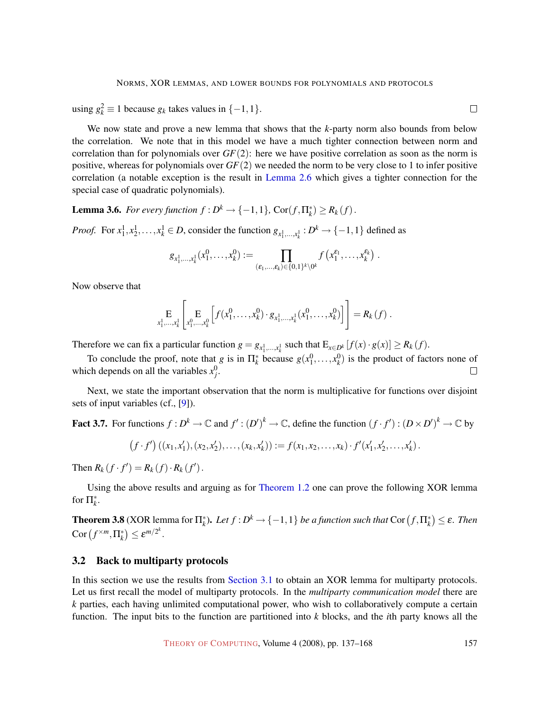using  $g_k^2$  ≡ 1 because  $g_k$  takes values in {−1,1}.

We now state and prove a new lemma that shows that the *k*-party norm also bounds from below the correlation. We note that in this model we have a much tighter connection between norm and correlation than for polynomials over *GF*(2): here we have positive correlation as soon as the norm is positive, whereas for polynomials over *GF*(2) we needed the norm to be very close to 1 to infer positive correlation (a notable exception is the result in Lemma [2.6](#page-11-2) [which gives a tighter connection for the](#page-11-2) special case of quadratic polynomials).

<span id="page-20-2"></span>**Lemma 3.6.** *For every function*  $f : D^k \to \{-1,1\}$ ,  $Cor(f, \Pi^*_k) \ge R_k(f)$ .

*Proof.* For  $x_1^1, x_2^1, \ldots, x_k^1 \in D$ , consider the function  $g_{x_1^1, \ldots, x_k^1} : D^k \to \{-1, 1\}$  defined as

$$
g_{x_1^1,\ldots,x_k^1}(x_1^0,\ldots,x_k^0) := \prod_{(\varepsilon_1,\ldots,\varepsilon_k) \in \{0,1\}^k \setminus 0^k} f(x_1^{\varepsilon_1},\ldots,x_k^{\varepsilon_k}) \; .
$$

Now observe that

$$
\underset{x_1^1,\ldots,x_k^1}{\mathbf{E}}\left[\underset{x_1^0,\ldots,x_k^0}{\mathbf{E}}\left[f(x_1^0,\ldots,x_k^0)\cdot g_{x_1^1,\ldots,x_k^1}(x_1^0,\ldots,x_k^0)\right]\right] = R_k(f) .
$$

Therefore we can fix a particular function  $g = g_{x_1^1,...,x_k^1}$  such that  $E_{x \in D^k}[f(x) \cdot g(x)] \ge R_k(f)$ .

To conclude the proof, note that *g* is in  $\Pi^*_k$  because  $g(x_1^0, \ldots, x_k^0)$  is the product of factors none of which depends on all the variables  $x_j^0$ .  $\Box$ 

Next, we state the important observation that the norm is multiplicative for functions over disjoint sets of input variables (cf., [\[9\]](#page-28-7)).

<span id="page-20-1"></span>**Fact 3.7.** For functions 
$$
f: D^k \to \mathbb{C}
$$
 and  $f' : (D')^k \to \mathbb{C}$ , define the function  $(f \cdot f') : (D \times D')^k \to \mathbb{C}$  by  $(f \cdot f')((x_1, x_1'), (x_2, x_2'), \ldots, (x_k, x_k')) := f(x_1, x_2, \ldots, x_k) \cdot f'(x_1', x_2', \ldots, x_k').$ 

Then  $R_k(f \cdot f') = R_k(f) \cdot R_k(f')$ .

Using the above results and arguing as for Theorem [1.2](#page-3-0) [one can prove the following XOR lemma](#page-3-0) for  $\Pi_k^*$ .

**Theorem 3.8** (XOR lemma for  $\Pi_k^*$ ). Let  $f: D^k \to \{-1,1\}$  be a function such that  $\text{Cor}\left(f,\Pi_k^*\right) \leq \varepsilon$ . Then  $\operatorname{Cor} (f^{\times m}, \Pi^*_k) \leq \varepsilon^{m/2^k}.$ 

# <span id="page-20-0"></span>3.2 Back to multiparty protocols

In this section we use the results from Section [3.1](#page-18-1) [to obtain an XOR lemma for multiparty protocols.](#page-18-1) Let us first recall the model of multiparty protocols. In the *multiparty communication model* there are *k* parties, each having unlimited computational power, who wish to collaboratively compute a certain function. The input bits to the function are partitioned into *k* blocks, and the *i*th party knows all the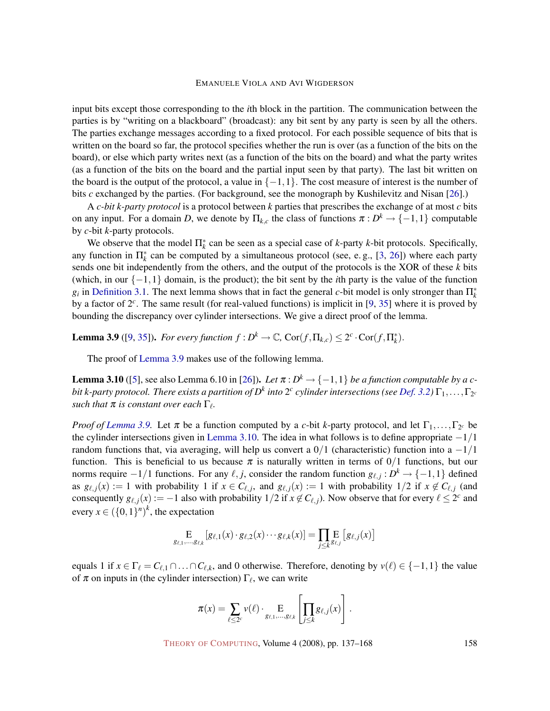input bits except those corresponding to the *i*th block in the partition. The communication between the parties is by "writing on a blackboard" (broadcast): any bit sent by any party is seen by all the others. The parties exchange messages according to a fixed protocol. For each possible sequence of bits that is written on the board so far, the protocol specifies whether the run is over (as a function of the bits on the board), or else which party writes next (as a function of the bits on the board) and what the party writes (as a function of the bits on the board and the partial input seen by that party). The last bit written on the board is the output of the protocol, a value in  $\{-1,1\}$ . The cost measure of interest is the number of bits *c* exchanged by the parties. (For background, see the monograph by Kushilevitz and Nisan [\[26\]](#page-29-7).)

A *c-bit k-party protocol* is a protocol between *k* parties that prescribes the exchange of at most *c* bits on any input. For a domain *D*, we denote by  $\Pi_{k,c}$  the class of functions  $\pi : D^k \to \{-1,1\}$  computable by *c*-bit *k*-party protocols.

We observe that the model  $\Pi_k^*$  can be seen as a special case of *k*-party *k*-bit protocols. Specifically, any function in  $\prod_{k=1}^{k}$  can be computed by a simultaneous protocol (see, e.g., [\[3,](#page-27-3) [26\]](#page-29-7)) where each party sends one bit independently from the others, and the output of the protocols is the XOR of these *k* bits (which, in our {−1,1} domain, is the product); the bit sent by the *i*th party is the value of the function  $g_i$  in Definition [3.1. The next lemma shows that in fact the general](#page-18-2) *c*-bit model is only stronger than  $\Pi_k^*$ by a factor of 2*<sup>c</sup>* . The same result (for real-valued functions) is implicit in [\[9,](#page-28-7) [35\]](#page-30-9) where it is proved by bounding the discrepancy over cylinder intersections. We give a direct proof of the lemma.

<span id="page-21-0"></span>**Lemma 3.9** ([\[9,](#page-28-7) [35\]](#page-30-9)). *For every function*  $f : D^k \to \mathbb{C}$ ,  $Cor(f, \Pi_{k,c}) \leq 2^c \cdot Cor(f, \Pi_k^*)$ .

The proof of Lemma [3.9](#page-21-0) [makes use of the following lemma.](#page-21-0)

<span id="page-21-1"></span>**Lemma 3.10** ([\[5\]](#page-28-1), see also Lemma 6.10 in [\[26\]](#page-29-7)). Let  $\pi$  :  $D^k \to \{-1,1\}$  be a function computable by a cbit k-party protocol. There exists a partition of  $D^k$  into  $2^c$  cylinder intersections (see  $D$ ef. [3.2\)](#page-18-3)  $\Gamma_1,\ldots,\Gamma_{2^c}$ *such that*  $\pi$  *is constant over each*  $\Gamma_{\ell}$ *.* 

*Proof of [Lemma](#page-21-0)* [3.9.](#page-21-0) Let  $\pi$  be a function computed by a *c*-bit *k*-party protocol, and let  $\Gamma_1, \ldots, \Gamma_{2^c}$  be the cylinder intersections given in Lemma [3.10. The idea in what follows is to define appropriate](#page-21-1)  $-1/1$ random functions that, via averaging, will help us convert a  $0/1$  (characteristic) function into a  $-1/1$ function. This is beneficial to us because  $\pi$  is naturally written in terms of  $0/1$  functions, but our norms require  $-1/1$  functions. For any  $\ell, j$ , consider the random function  $g_{\ell, j}: D^k \to \{-1, 1\}$  defined as  $g_{\ell, j}(x) := 1$  with probability 1 if  $x \in C_{\ell, j}$ , and  $g_{\ell, j}(x) := 1$  with probability  $1/2$  if  $x \notin C_{\ell, j}$  (and consequently  $g_{\ell, j}(x) := -1$  also with probability  $1/2$  if  $x \notin C_{\ell, j}$ ). Now observe that for every  $\ell \leq 2^c$  and every  $x \in (\{0,1\}^n)^k$ , the expectation

$$
\underset{g_{\ell,1},\ldots,g_{\ell,k}}{\mathrm{E}}\left[g_{\ell,1}(x)\cdot g_{\ell,2}(x)\cdots g_{\ell,k}(x)\right]=\underset{j\leq k}{\prod}\underset{g_{\ell,j}}{\mathrm{E}}\left[g_{\ell,j}(x)\right]
$$

equals 1 if  $x \in \Gamma_\ell = C_{\ell,1} \cap \ldots \cap C_{\ell,k}$ , and 0 otherwise. Therefore, denoting by  $v(\ell) \in \{-1,1\}$  the value of  $\pi$  on inputs in (the cylinder intersection)  $\Gamma_{\ell}$ , we can write

$$
\pi(x) = \sum_{\ell \leq 2^c} \nu(\ell) \cdot \underset{g_{\ell,1},\ldots,g_{\ell,k}}{\mathrm{E}} \left[ \underset{j \leq k}{\prod} g_{\ell,j}(x) \right].
$$

THEORY OF C[OMPUTING](http://dx.doi.org/10.4086/toc), Volume 4 (2008), pp. 137–168 158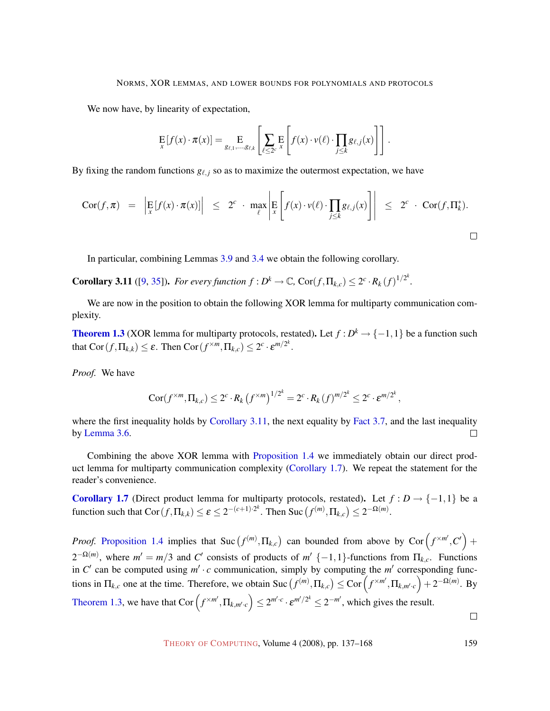We now have, by linearity of expectation,

$$
\mathop{\mathbf{E}}_x[f(x)\cdot \pi(x)] = \mathop{\mathbf{E}}_{g_{\ell,1},\ldots,g_{\ell,k}}\left[\sum_{\ell\leq 2^c} \mathop{\mathbf{E}}_x\left[f(x)\cdot \nu(\ell)\cdot \prod_{j\leq k} g_{\ell,j}(x)\right]\right].
$$

By fixing the random functions  $g_{\ell, j}$  so as to maximize the outermost expectation, we have

$$
Cor(f, \pi) = \left| \mathop{\mathbb{E}}_{x} [f(x) \cdot \pi(x)] \right| \leq 2^{c} \cdot \max_{\ell} \left| \mathop{\mathbb{E}}_{x} \left[ f(x) \cdot v(\ell) \cdot \prod_{j \leq k} g_{\ell, j}(x) \right] \right| \leq 2^{c} \cdot Cor(f, \Pi_{k}^{*}).
$$

In particular, combining Lemmas [3.9](#page-21-0) and [3.4](#page-18-0) we obtain the following corollary.

<span id="page-22-0"></span>**Corollary 3.11** ([\[9,](#page-28-7) [35\]](#page-30-9)). For every function  $f: D^k \to \mathbb{C}$ ,  $Cor(f, \Pi_{k,c}) \leq 2^c \cdot R_k(f)^{1/2^k}$ .

We are now in the position to obtain the following XOR lemma for multiparty communication complexity.

**Theorem [1.3](#page-4-0)** [\(XOR lemma for multiparty protocols, restated\)](#page-4-0). Let  $f : D^k \to \{-1,1\}$  be a function such that  $\mathrm{Cor}(f, \Pi_{k,k}) \leq \varepsilon$ . Then  $\mathrm{Cor}(f^{\times m}, \Pi_{k,c}) \leq 2^c \cdot \varepsilon^{m/2^k}$ .

*Proof.* We have

$$
Cor(f^{\times m}, \Pi_{k,c}) \leq 2^c \cdot R_k \left(f^{\times m}\right)^{1/2^k} = 2^c \cdot R_k \left(f\right)^{m/2^k} \leq 2^c \cdot \varepsilon^{m/2^k},
$$

where the first inequality holds by Corollary [3.11, the next equality by](#page-22-0) Fact [3.7, and the last inequality](#page-22-0) by [Lemma](#page-20-2) [3.6.](#page-20-2)  $\Box$ 

Combining the above XOR lemma with Proposition [1.4](#page-5-0) [we immediately obtain our direct prod](#page-5-0)uct lemma for multiparty communication complexity (Corollary [1.7\). We repeat the statement for the](#page-6-1) reader's convenience.

**Corollary [1.7](#page-6-1)** [\(Direct product lemma for multiparty protocols, restated\)](#page-6-1). Let  $f : D \rightarrow \{-1,1\}$  be a  $\text{function such that } \text{Cor}(f, \Pi_{k,k}) \leq \varepsilon \leq 2^{-(c+1)\cdot 2^k}. \text{ Then } \text{Suc}(f^{(m)}, \Pi_{k,c}) \leq 2^{-\Omega(m)}.$ 

*Proof.* Proposition [1.4](#page-5-0) implies that Suc  $(f^{(m)}, \Pi_{k,c})$  [can bounded from above by Cor](#page-5-0) $(f^{\times m'}, C')$  +  $2^{-\Omega(m)}$ , where  $m' = m/3$  and *C*<sup>'</sup> consists of products of  $m' \{-1,1\}$ -functions from  $\Pi_{k,c}$ . Functions in  $C'$  can be computed using  $m' \cdot c$  communication, simply by computing the  $m'$  corresponding functions in  $\Pi_{k,c}$  one at the time. Therefore, we obtain Suc  $(f^{(m)}, \Pi_{k,c}) \leq \text{Cor} \left(f^{\times m'}, \Pi_{k,m',c}\right) + 2^{-\Omega(m)}$ . By Theorem [1.3,](#page-4-0) we have that  $\text{Cor}\left(f^{\times m'}, \Pi_{k,m',c}\right) \leq 2^{m',c} \cdot \varepsilon^{m'/2^k} \leq 2^{-m'}$ [, which gives the result.](#page-4-0)  $\Box$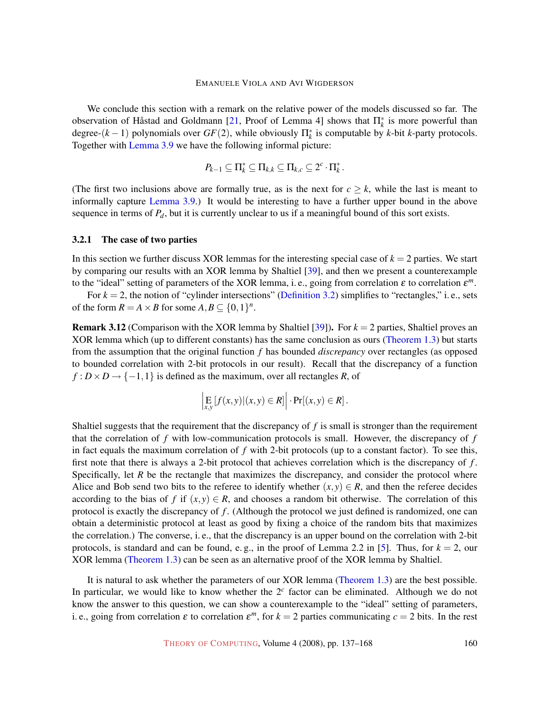We conclude this section with a remark on the relative power of the models discussed so far. The observation of Håstad and Goldmann [[21,](#page-29-8) Proof of Lemma 4] shows that  $\Pi^*_k$  is more powerful than degree- $(k-1)$  polynomials over  $GF(2)$ , while obviously  $\prod_{k=1}^{k}$  is computable by *k*-bit *k*-party protocols. Together with Lemma [3.9](#page-21-0) [we have the following informal picture:](#page-21-0)

$$
P_{k-1} \subseteq \Pi_k^* \subseteq \Pi_{k,k} \subseteq \Pi_{k,c} \subseteq 2^c \cdot \Pi_k^*.
$$

(The first two inclusions above are formally true, as is the next for  $c \geq k$ , while the last is meant to informally capture Lemma [3.9.\) It would be interesting to have a further upper bound in the above](#page-21-0) sequence in terms of *Pd*, but it is currently unclear to us if a meaningful bound of this sort exists.

#### <span id="page-23-1"></span>3.2.1 The case of two parties

In this section we further discuss XOR lemmas for the interesting special case of *k* = 2 parties. We start by comparing our results with an XOR lemma by Shaltiel [\[39\]](#page-30-8), and then we present a counterexample to the "ideal" setting of parameters of the XOR lemma, i. e., going from correlation  $\varepsilon$  to correlation  $\varepsilon^m$ .

For  $k = 2$ , the notion of "cylinder intersections" (Definition [3.2\) simplifies to "rectangles," i. e., sets](#page-18-3) of the form  $R = A \times B$  for some  $A, B \subseteq \{0, 1\}^n$ .

<span id="page-23-0"></span>**Remark 3.12** (Comparison with the XOR lemma by Shaltiel [\[39\]](#page-30-8)). For  $k = 2$  parties, Shaltiel proves an XOR lemma which (up to different constants) has the same conclusion as ours (Theorem [1.3\) but starts](#page-4-0) from the assumption that the original function *f* has bounded *discrepancy* over rectangles (as opposed to bounded correlation with 2-bit protocols in our result). Recall that the discrepancy of a function  $f: D \times D \rightarrow \{-1,1\}$  is defined as the maximum, over all rectangles *R*, of

$$
\left|\mathop{\mathbf{E}}_{x,y}[f(x,y)|(x,y)\in R]\right|\cdot\Pr[(x,y)\in R].
$$

Shaltiel suggests that the requirement that the discrepancy of *f* is small is stronger than the requirement that the correlation of *f* with low-communication protocols is small. However, the discrepancy of *f* in fact equals the maximum correlation of *f* with 2-bit protocols (up to a constant factor). To see this, first note that there is always a 2-bit protocol that achieves correlation which is the discrepancy of *f* . Specifically, let *R* be the rectangle that maximizes the discrepancy, and consider the protocol where Alice and Bob send two bits to the referee to identify whether  $(x, y) \in R$ , and then the referee decides according to the bias of *f* if  $(x, y) \in R$ , and chooses a random bit otherwise. The correlation of this protocol is exactly the discrepancy of *f* . (Although the protocol we just defined is randomized, one can obtain a deterministic protocol at least as good by fixing a choice of the random bits that maximizes the correlation.) The converse, i. e., that the discrepancy is an upper bound on the correlation with 2-bit protocols, is standard and can be found, e.g., in the proof of Lemma 2.2 in [\[5\]](#page-28-1). Thus, for  $k = 2$ , our XOR lemma (Theorem [1.3\) can be seen as an alternative proof of the XOR lemma by Shaltiel.](#page-4-0)

It is natural to ask whether the parameters of our XOR lemma (Theorem [1.3\) are the best possible.](#page-4-0) In particular, we would like to know whether the 2*<sup>c</sup>* factor can be eliminated. Although we do not know the answer to this question, we can show a counterexample to the "ideal" setting of parameters, i. e., going from correlation  $\varepsilon$  to correlation  $\varepsilon^m$ , for  $k = 2$  parties communicating  $c = 2$  bits. In the rest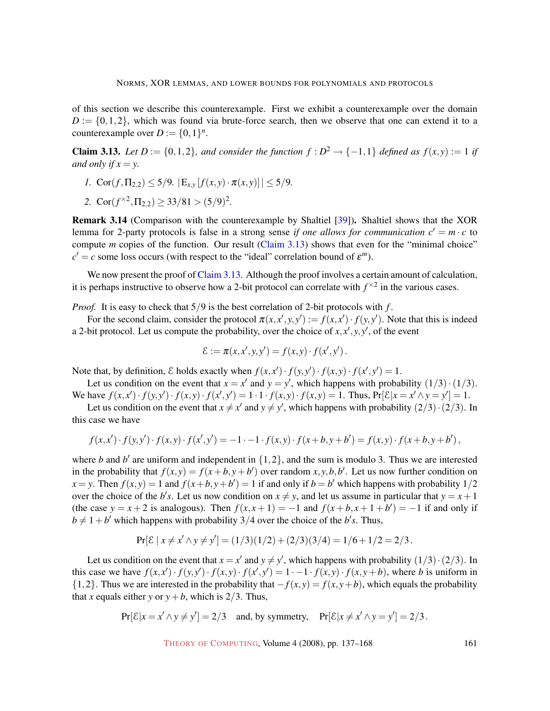of this section we describe this counterexample. First we exhibit a counterexample over the domain  $D := \{0, 1, 2\}$ , which was found via brute-force search, then we observe that one can extend it to a counterexample over  $D := \{0, 1\}^n$ .

<span id="page-24-0"></span>**Claim 3.13.** Let  $D := \{0, 1, 2\}$ , and consider the function  $f : D^2 \to \{-1, 1\}$  defined as  $f(x, y) := 1$  if *and only if*  $x = y$ .

- *1.*  $\text{Cor}(f, \Pi_{2,2}) \leq 5/9$ .  $|E_{x,y}[f(x,y) \cdot \pi(x,y)|] \leq 5/9$ .
- 2.  $\text{Cor}(f^{\times 2}, \Pi_{2,2}) \geq 33/81 > (5/9)^2$ .

<span id="page-24-1"></span>Remark 3.14 (Comparison with the counterexample by Shaltiel [\[39\]](#page-30-8)). Shaltiel shows that the XOR lemma for 2-party protocols is false in a strong sense *if one allows for communication*  $c' = m \cdot c$  to compute *m* copies of the function. Our result (Claim [3.13\) shows that even for the "minimal choice"](#page-24-0)  $c' = c$  some loss occurs (with respect to the "ideal" correlation bound of  $\varepsilon^m$ ).

We now present the proof of Claim [3.13. Although the proof involves a certain amount of calculation,](#page-24-0) it is perhaps instructive to observe how a 2-bit protocol can correlate with  $f^{\times 2}$  in the various cases.

*Proof.* It is easy to check that  $5/9$  is the best correlation of 2-bit protocols with f.

For the second claim, consider the protocol  $\pi(x, x', y, y') := f(x, x') \cdot f(y, y')$ . Note that this is indeed a 2-bit protocol. Let us compute the probability, over the choice of  $x$ , $x$ <sup>'</sup>, $y$ , $y$ <sup>'</sup>, of the event

$$
\mathcal{E} := \pi(x, x', y, y') = f(x, y) \cdot f(x', y').
$$

Note that, by definition,  $\mathcal E$  holds exactly when  $f(x, x') \cdot f(y, y') \cdot f(x, y) \cdot f(x', y') = 1$ .

Let us condition on the event that  $x = x'$  and  $y = y'$ , which happens with probability  $(1/3) \cdot (1/3)$ . We have  $f(x, x') \cdot f(y, y') \cdot f(x, y) \cdot f(x', y') = 1 \cdot 1 \cdot f(x, y) \cdot f(x, y) = 1$ . Thus,  $Pr[\mathcal{E}|x = x' \land y = y'] = 1$ .

Let us condition on the event that  $x \neq x'$  and  $y \neq y'$ , which happens with probability  $(2/3) \cdot (2/3)$ . In this case we have

$$
f(x,x') \cdot f(y,y') \cdot f(x,y) \cdot f(x',y') = -1 \cdot -1 \cdot f(x,y) \cdot f(x+b,y+b') = f(x,y) \cdot f(x+b,y+b'),
$$

where *b* and *b*<sup> $\prime$ </sup> are uniform and independent in  $\{1, 2\}$ , and the sum is modulo 3. Thus we are interested in the probability that  $f(x, y) = f(x + b, y + b')$  over random  $x, y, b, b'$ . Let us now further condition on  $f(x, y) = 1$  and  $f(x + b, y + b') = 1$  if and only if  $b = b'$  which happens with probability 1/2 over the choice of the *b*'s. Let us now condition on  $x \neq y$ , and let us assume in particular that  $y = x + 1$ (the case  $y = x + 2$  is analogous). Then  $f(x, x + 1) = -1$  and  $f(x + b, x + 1 + b') = -1$  if and only if  $b \neq 1+b'$  which happens with probability 3/4 over the choice of the *b*'s. Thus,

$$
Pr[\mathcal{E} \mid x \neq x' \land y \neq y'] = (1/3)(1/2) + (2/3)(3/4) = 1/6 + 1/2 = 2/3.
$$

Let us condition on the event that  $x = x'$  and  $y \neq y'$ , which happens with probability  $(1/3) \cdot (2/3)$ . In this case we have  $f(x,x') \cdot f(y,y') \cdot f(x,y) \cdot f(x',y') = 1 - 1 - f(x,y) \cdot f(x,y+b)$ , where *b* is uniform in {1,2}. Thus we are interested in the probability that  $-f(x, y) = f(x, y + b)$ , which equals the probability that *x* equals either *y* or  $y + b$ , which is 2/3. Thus,

$$
Pr[\mathcal{E}|x = x' \land y \neq y'] = 2/3 \quad \text{and, by symmetry,} \quad Pr[\mathcal{E}|x \neq x' \land y = y'] = 2/3.
$$

THEORY OF C[OMPUTING](http://dx.doi.org/10.4086/toc), Volume 4 (2008), pp. 137–168 161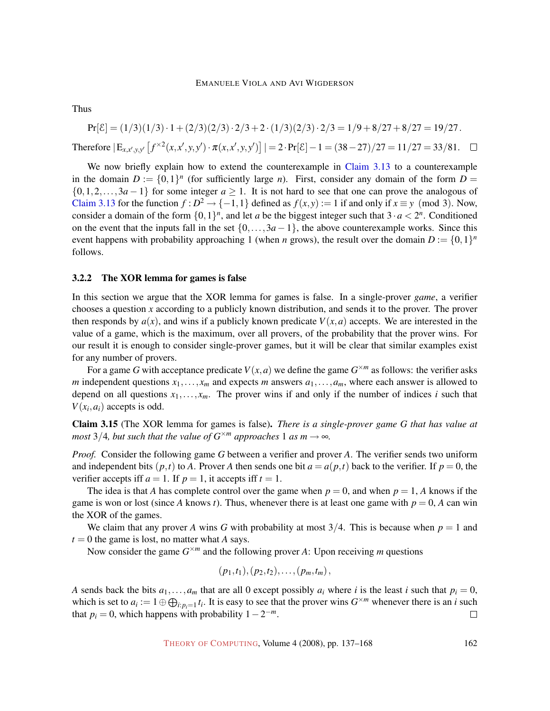Thus

 $Pr[\mathcal{E}] = (1/3)(1/3) \cdot 1 + (2/3)(2/3) \cdot 2/3 + 2 \cdot (1/3)(2/3) \cdot 2/3 = 1/9 + 8/27 + 8/27 = 19/27.$  $\text{Therefore } |E_{x,x',y,y'}[f^{\times 2}(x,x',y,y') \cdot \pi(x,x',y,y')]| = 2 \cdot \Pr[\mathcal{E}] - 1 = (38 - 27)/27 = 11/27 = 33/81.$ 

We now briefly explain how to extend the counterexample in Claim [3.13](#page-24-0) [to a counterexample](#page-24-0) in the domain  $D := \{0,1\}^n$  (for sufficiently large *n*). First, consider any domain of the form  $D =$  $\{0,1,2,\ldots,3a-1\}$  for some integer  $a \ge 1$ . It is not hard to see that one can prove the analogous of Claim [3.13](#page-24-0) [for the function](#page-24-0)  $f : D^2 \to \{-1,1\}$  defined as  $f(x,y) := 1$  if and only if  $x \equiv y \pmod{3}$ . Now, consider a domain of the form  $\{0,1\}^n$ , and let *a* be the biggest integer such that  $3 \cdot a < 2^n$ . Conditioned on the event that the inputs fall in the set  $\{0,\ldots,3a-1\}$ , the above counterexample works. Since this event happens with probability approaching 1 (when *n* grows), the result over the domain  $D := \{0,1\}^n$ follows.

## <span id="page-25-0"></span>3.2.2 The XOR lemma for games is false

In this section we argue that the XOR lemma for games is false. In a single-prover *game*, a verifier chooses a question *x* according to a publicly known distribution, and sends it to the prover. The prover then responds by  $a(x)$ , and wins if a publicly known predicate  $V(x, a)$  accepts. We are interested in the value of a game, which is the maximum, over all provers, of the probability that the prover wins. For our result it is enough to consider single-prover games, but it will be clear that similar examples exist for any number of provers.

For a game *G* with acceptance predicate  $V(x, a)$  we define the game  $G^{\times m}$  as follows: the verifier asks *m* independent questions  $x_1, \ldots, x_m$  and expects *m* answers  $a_1, \ldots, a_m$ , where each answer is allowed to depend on all questions  $x_1, \ldots, x_m$ . The prover wins if and only if the number of indices *i* such that  $V(x_i, a_i)$  accepts is odd.

Claim 3.15 (The XOR lemma for games is false). *There is a single-prover game G that has value at most* 3/4*, but such that the value of*  $G^{\times m}$  *approaches* 1 *as m*  $\rightarrow \infty$ *.* 

*Proof.* Consider the following game *G* between a verifier and prover *A*. The verifier sends two uniform and independent bits  $(p,t)$  to *A*. Prover *A* then sends one bit  $a = a(p,t)$  back to the verifier. If  $p = 0$ , the verifier accepts iff  $a = 1$ . If  $p = 1$ , it accepts iff  $t = 1$ .

The idea is that *A* has complete control over the game when  $p = 0$ , and when  $p = 1$ , *A* knows if the game is won or lost (since *A* knows *t*). Thus, whenever there is at least one game with  $p = 0$ , *A* can win the XOR of the games.

We claim that any prover *A* wins *G* with probability at most  $3/4$ . This is because when  $p = 1$  and  $t = 0$  the game is lost, no matter what *A* says.

Now consider the game  $G^{\times m}$  and the following prover A: Upon receiving *m* questions

$$
(p_1,t_1),(p_2,t_2),\ldots,(p_m,t_m),
$$

*A* sends back the bits  $a_1, \ldots, a_m$  that are all 0 except possibly  $a_i$  where *i* is the least *i* such that  $p_i = 0$ , which is set to  $a_i := 1 \oplus \bigoplus_{i: p_i = 1} t_i$ . It is easy to see that the prover wins  $G^{\times m}$  whenever there is an *i* such that  $p_i = 0$ , which happens with probability  $1 - 2^{-m}$ .  $\Box$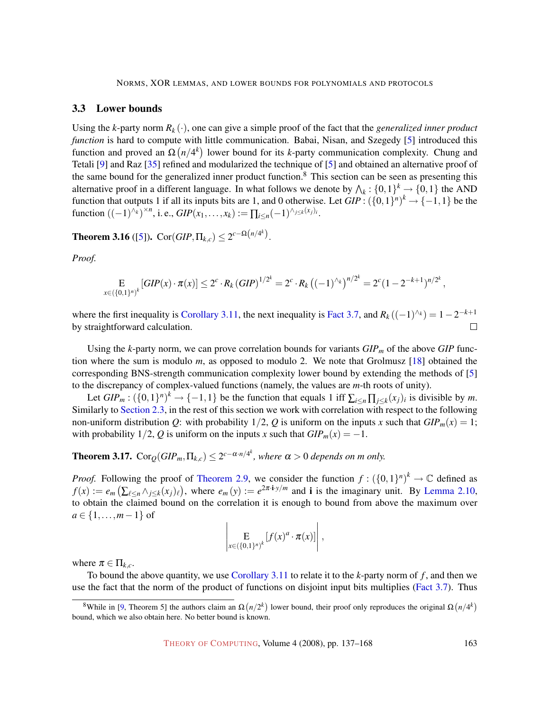# <span id="page-26-0"></span>3.3 Lower bounds

Using the *k*-party norm  $R_k(\cdot)$ , one can give a simple proof of the fact that the *generalized inner product function* is hard to compute with little communication. Babai, Nisan, and Szegedy [\[5\]](#page-28-1) introduced this function and proved an  $\Omega(n/4^k)$  lower bound for its *k*-party communication complexity. Chung and Tetali [\[9\]](#page-28-7) and Raz [\[35\]](#page-30-9) refined and modularized the technique of [\[5\]](#page-28-1) and obtained an alternative proof of the same bound for the generalized inner product function.<sup>8</sup> This section can be seen as presenting this alternative proof in a different language. In what follows we denote by  $\bigwedge_k : \{0,1\}^k \to \{0,1\}$  the AND function that outputs 1 if all its inputs bits are 1, and 0 otherwise. Let  $GIP$ :  $({0,1})^n$ <sup>k</sup>  $\rightarrow$  {-1,1} be the function  $((-1)^{\wedge k})^{\times n}$ , i. e.,  $GIP(x_1, ..., x_k) := \prod_{i \leq n} (-1)^{\wedge_{j \leq k}(x_j)}$ .

<span id="page-26-1"></span>**Theorem 3.16** ([\[5\]](#page-28-1)). Cor( $GIP, \Pi_{k,c}$ )  $\leq 2^{c-\Omega(n/4^k)}$ .

*Proof.*

$$
\mathop{\mathbf{E}}_{x \in (\{0,1\}^n)^k} \left[ GIP(x) \cdot \pi(x) \right] \leq 2^c \cdot R_k \left( GIP \right)^{1/2^k} = 2^c \cdot R_k \left( (-1)^{\wedge_k} \right)^{n/2^k} = 2^c (1 - 2^{-k+1})^{n/2^k},
$$

where the first inequality is Corollary [3.11, the next inequality is](#page-22-0) Fact [3.7, and](#page-20-1)  $R_k((-1)^{k}) = 1 - 2^{-k+1}$ by straightforward calculation.  $\Box$ 

Using the *k*-party norm, we can prove correlation bounds for variants *GIP<sup>m</sup>* of the above *GIP* function where the sum is modulo *m*, as opposed to modulo 2. We note that Grolmusz [\[18\]](#page-28-8) obtained the corresponding BNS-strength communication complexity lower bound by extending the methods of [\[5\]](#page-28-1) to the discrepancy of complex-valued functions (namely, the values are *m*-th roots of unity).

Let  $GIP_m$ :  $(\{0,1\}^n)^k \to \{-1,1\}$  be the function that equals 1 iff  $\sum_{i \leq n} \prod_{j \leq k} (x_j)_i$  is divisible by *m*. Similarly to Section [2.3, in the rest of this section we work with correlation with respect to the following](#page-12-0) non-uniform distribution *Q*: with probability  $1/2$ , *Q* is uniform on the inputs *x* such that  $GIP_m(x) = 1$ ; with probability  $1/2$ , *Q* is uniform on the inputs *x* such that  $GIP_m(x) = -1$ .

**Theorem 3.17.**  $\text{Cor}_{\mathcal{Q}}(GIP_m, \Pi_{k,c}) \leq 2^{c-\alpha \cdot n/4^k}$ , where  $\alpha > 0$  depends on m only.

*Proof.* Following the proof of Theorem [2.9, we consider the function](#page-12-2)  $f: (\{0,1\}^n)^k \to \mathbb{C}$  defined as  $f(x) := e_m \left( \sum_{\ell \le n} \wedge_{j \le k} (x_j)_{\ell} \right)$ , where  $e_m(y) := e^{2\pi i y/m}$  and i is the imaginary unit. By [Lemma](#page-13-0) [2.10,](#page-13-0) to obtain the claimed bound on the correlation it is enough to bound from above the maximum over *a* ∈ {1, ..., *m* − 1} of

$$
\left|\mathop{\mathbf{E}}_{x\in(\{0,1\}^n)^k}[f(x)^a\cdot\pi(x)]\right|,
$$

where  $\pi \in \Pi_{k,c}$ .

To bound the above quantity, we use Corollary [3.11](#page-22-0) [to relate it to the](#page-22-0) *k*-party norm of *f* , and then we use the fact that the norm of the product of functions on disjoint input bits multiplies (Fact [3.7\). Thus](#page-20-1)

<sup>&</sup>lt;sup>8</sup>While in [\[9,](#page-28-7) Theorem 5] the authors claim an  $\Omega(n/2^k)$  lower bound, their proof only reproduces the original  $\Omega(n/4^k)$ bound, which we also obtain here. No better bound is known.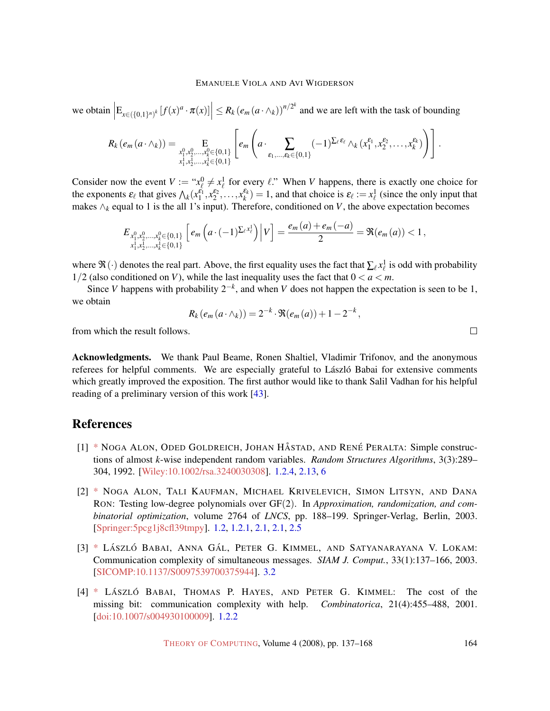we obtain  $\left| E_{x \in (\{0,1\}^n)^k} [f(x)^a \cdot \pi(x)] \right| \leq R_k (e_m (a \cdot \wedge_k))^{n/2^k}$  and we are left with the task of bounding

$$
R_k(e_m(a \cdot \wedge_k)) = \underset{\substack{x_1^0, x_2^0, \ldots, x_k^0 \in \{0, 1\} \\ x_1^1, x_2^1, \ldots, x_k^1 \in \{0, 1\}}} \left[ e_m\left(a \cdot \sum_{\varepsilon_1, \ldots, \varepsilon_k \in \{0, 1\}} (-1)^{\sum_{\ell} \varepsilon_{\ell}} \wedge_k (x_1^{\varepsilon_1}, x_2^{\varepsilon_2}, \ldots, x_k^{\varepsilon_k}) \right) \right].
$$

Consider now the event  $V := "x^0_{\ell} \neq x^1_{\ell}$  for every  $\ell$ ." When *V* happens, there is exactly one choice for the exponents  $\varepsilon_{\ell}$  that gives  $\Lambda_k(x_1^{\varepsilon_1}, x_2^{\varepsilon_2}, \dots, x_k^{\varepsilon_k}) = 1$ , and that choice is  $\varepsilon_{\ell} := x_{\ell}^1$  (since the only input that makes ∧*<sup>k</sup>* equal to 1 is the all 1's input). Therefore, conditioned on *V*, the above expectation becomes

$$
E_{x_1^0,x_2^0,...,x_k^0 \in \{0,1\}} \left[ e_m\left( a \cdot (-1)^{\sum_{\ell} x_{\ell}^1} \right) \Big| V \right] = \frac{e_m(a) + e_m(-a)}{2} = \Re(e_m(a)) < 1,
$$

where  $\Re(\cdot)$  denotes the real part. Above, the first equality uses the fact that  $\sum_\ell x^1_\ell$  is odd with probability  $1/2$  (also conditioned on *V*), while the last inequality uses the fact that  $0 < a < m$ .

Since *V* happens with probability  $2^{-k}$ , and when *V* does not happen the expectation is seen to be 1, we obtain

$$
R_k(e_m(a \cdot \wedge_k)) = 2^{-k} \cdot \Re(e_m(a)) + 1 - 2^{-k},
$$

from which the result follows.

<span id="page-27-4"></span>Acknowledgments. We thank Paul Beame, Ronen Shaltiel, Vladimir Trifonov, and the anonymous referees for helpful comments. We are especially grateful to László Babai for extensive comments which greatly improved the exposition. The first author would like to thank Salil Vadhan for his helpful reading of a preliminary version of this work [\[43\]](#page-30-12).

# References

- <span id="page-27-2"></span>[1] [\\*](http://theoryofcomputing.org/articles/main/v004/a007/bibliography.html#AGHP92) NOGA ALON, ODED GOLDREICH, JOHAN HÅSTAD, AND RENÉ PERALTA: Simple constructions of almost *k*-wise independent random variables. *Random Structures Algorithms*, 3(3):289– 304, 1992. [\[Wiley:10.1002/rsa.3240030308\]](http://dx.doi.org/10.1002/rsa.3240030308). [1.2.4,](#page-8-0) [2.13,](#page-16-0) [6](#page-16-0)
- <span id="page-27-0"></span>[2] [\\*](http://theoryofcomputing.org/articles/main/v004/a007/bibliography.html#AKKLR03) NOGA ALON, TALI KAUFMAN, MICHAEL KRIVELEVICH, SIMON LITSYN, AND DANA RON: Testing low-degree polynomials over GF(2). In *Approximation, randomization, and combinatorial optimization*, volume 2764 of *LNCS*, pp. 188–199. Springer-Verlag, Berlin, 2003. [\[Springer:5pcg1j8cfl39tmpy\]](http://springerlink.metapress.com/link.asp?id=5pcg1j8cfl39tmpy). [1.2,](#page-2-2) [1.2.1,](#page-3-0) [2.1,](#page-9-4) [2.1,](#page-10-0) [2.5](#page-11-1)
- <span id="page-27-3"></span>[3] [\\*](http://theoryofcomputing.org/articles/main/v004/a007/bibliography.html#BGKL03) LÁSZLÓ BABAI, ANNA GÁL, PETER G. KIMMEL, AND SATYANARAYANA V. LOKAM: Communication complexity of simultaneous messages. *SIAM J. Comput.*, 33(1):137–166, 2003. [\[SICOMP:10.1137/S0097539700375944\]](http://dx.doi.org/10.1137/S0097539700375944). [3.2](#page-20-0)
- <span id="page-27-1"></span>[4] [\\*](http://theoryofcomputing.org/articles/main/v004/a007/bibliography.html#BabaiHayesKimmel01) LÁSZLÓ BABAI, THOMAS P. HAYES, AND PETER G. KIMMEL: The cost of the missing bit: communication complexity with help. *Combinatorica*, 21(4):455–488, 2001. [\[doi:10.1007/s004930100009\]](http://dx.doi.org/10.1007/s004930100009). [1.2.2](#page-4-0)

 $\Box$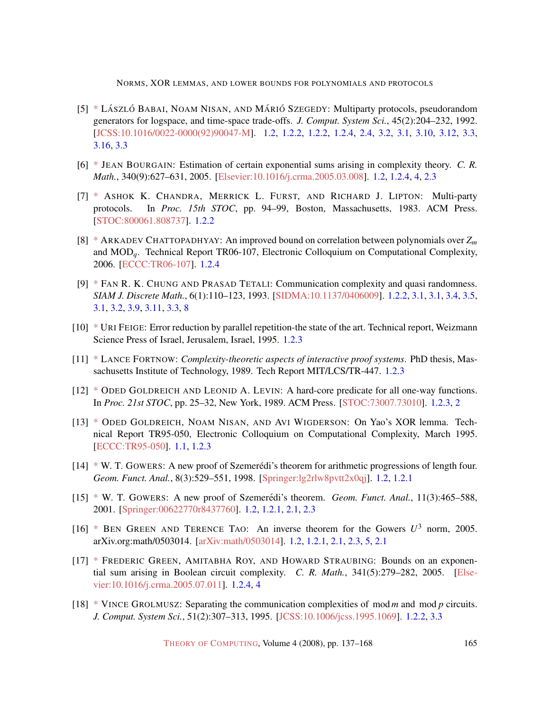NORMS, XOR LEMMAS, AND LOWER BOUNDS FOR POLYNOMIALS AND PROTOCOLS

- <span id="page-28-1"></span>[5] [\\*](http://theoryofcomputing.org/articles/main/v004/a007/bibliography.html#BNS92) LÁSZLÓ BABAI, NOAM NISAN, AND MÁRIÓ SZEGEDY: Multiparty protocols, pseudorandom generators for logspace, and time-space trade-offs. *J. Comput. System Sci.*, 45(2):204–232, 1992. [\[JCSS:10.1016/0022-0000\(92\)90047-M\]](http://dx.doi.org/10.1016/0022-0000(92)90047-M). [1.2,](#page-2-2) [1.2.2,](#page-3-1) [1.2.2,](#page-4-0) [1.2.4,](#page-8-0) [2.4,](#page-16-2) [3.2,](#page-18-3) [3.1,](#page-18-3) [3.10,](#page-21-1) [3.12,](#page-23-0) [3.3,](#page-26-0) [3.16,](#page-26-1) [3.3](#page-26-1)
- <span id="page-28-4"></span>[6] [\\*](http://theoryofcomputing.org/articles/main/v004/a007/bibliography.html#Bou05) JEAN BOURGAIN: Estimation of certain exponential sums arising in complexity theory. *C. R. Math.*, 340(9):627–631, 2005. [\[Elsevier:10.1016/j.crma.2005.03.008\]](http://dx.doi.org/10.1016/j.crma.2005.03.008). [1.2,](#page-2-2) [1.2.4,](#page-8-0) [4,](#page-8-0) [2.3](#page-13-0)
- <span id="page-28-6"></span>[7] [\\*](http://theoryofcomputing.org/articles/main/v004/a007/bibliography.html#CFL83) ASHOK K. CHANDRA, MERRICK L. FURST, AND RICHARD J. LIPTON: Multi-party protocols. In *Proc. 15th STOC*, pp. 94–99, Boston, Massachusetts, 1983. ACM Press. [\[STOC:800061.808737\]](http://portal.acm.org/citation.cfm?id=800061.808737). [1.2.2](#page-3-1)
- <span id="page-28-12"></span>[8] [\\*](http://theoryofcomputing.org/articles/main/v004/a007/bibliography.html#Cha06) ARKADEV CHATTOPADHYAY: An improved bound on correlation between polynomials over *Z<sup>m</sup>* and MOD*q*. Technical Report TR06-107, Electronic Colloquium on Computational Complexity, 2006. [\[ECCC:TR06-107\]](http://www.eccc.uni-trier.de/eccc-reports/2006/TR06-107). [1.2.4](#page-8-0)
- <span id="page-28-7"></span>[9] [\\*](http://theoryofcomputing.org/articles/main/v004/a007/bibliography.html#ChT93) FAN R. K. CHUNG AND PRASAD TETALI: Communication complexity and quasi randomness. *SIAM J. Discrete Math.*, 6(1):110–123, 1993. [\[SIDMA:10.1137/0406009\]](http://dx.doi.org/10.1137/0406009). [1.2.2,](#page-4-0) [3.1,](#page-18-3) [3.1,](#page-18-4) [3.4,](#page-18-0) [3.5,](#page-19-0) [3.1,](#page-20-2) [3.2,](#page-20-0) [3.9,](#page-21-0) [3.11,](#page-22-0) [3.3,](#page-26-0) [8](#page-26-0)
- <span id="page-28-10"></span>[10] [\\*](http://theoryofcomputing.org/articles/main/v004/a007/bibliography.html#Fei95) URI FEIGE: Error reduction by parallel repetition-the state of the art. Technical report, Weizmann Science Press of Israel, Jerusalem, Israel, 1995. [1.2.3](#page-7-0)
- <span id="page-28-11"></span>[11] [\\*](http://theoryofcomputing.org/articles/main/v004/a007/bibliography.html#Fortnow89) LANCE FORTNOW: *Complexity-theoretic aspects of interactive proof systems*. PhD thesis, Massachusetts Institute of Technology, 1989. Tech Report MIT/LCS/TR-447. [1.2.3](#page-7-0)
- <span id="page-28-9"></span>[12] [\\*](http://theoryofcomputing.org/articles/main/v004/a007/bibliography.html#GoL89) ODED GOLDREICH AND LEONID A. LEVIN: A hard-core predicate for all one-way functions. In *Proc. 21st STOC*, pp. 25–32, New York, 1989. ACM Press. [\[STOC:73007.73010\]](http://portal.acm.org/citation.cfm?id=73007.73010). [1.2.3,](#page-7-0) [2](#page-7-1)
- <span id="page-28-0"></span>[13] [\\*](http://theoryofcomputing.org/articles/main/v004/a007/bibliography.html#GNW95) ODED GOLDREICH, NOAM NISAN, AND AVI WIGDERSON: On Yao's XOR lemma. Technical Report TR95-050, Electronic Colloquium on Computational Complexity, March 1995. [\[ECCC:TR95-050\]](http://www.eccc.uni-trier.de/eccc-reports/1995/TR95-050). [1.1,](#page-1-1) [1.2.3](#page-7-0)
- <span id="page-28-2"></span> $[14] * W$  $[14] * W$  $[14] * W$ . T. GOWERS: A new proof of Szemerédi's theorem for arithmetic progressions of length four. *Geom. Funct. Anal.*, 8(3):529–551, 1998. [\[Springer:lg2rlw8pvtt2x0qj\]](http://springerlink.metapress.com/link.asp?id=lg2rlw8pvtt2x0qj). [1.2,](#page-2-2) [1.2.1](#page-3-0)
- <span id="page-28-3"></span> $[15]$  [\\*](http://theoryofcomputing.org/articles/main/v004/a007/bibliography.html#Gow01) W. T. GOWERS: A new proof of Szemerédi's theorem. *Geom. Funct. Anal.*, 11(3):465–588, 2001. [\[Springer:00622770r8437760\]](http://springerlink.metapress.com/link.asp?id=00622770r8437760). [1.2,](#page-2-2) [1.2.1,](#page-3-0) [2.1,](#page-9-4) [2.3](#page-9-0)
- <span id="page-28-5"></span>[16] [\\*](http://theoryofcomputing.org/articles/main/v004/a007/bibliography.html#GrT05) BEN GREEN AND TERENCE TAO: An inverse theorem for the Gowers  $U^3$  norm, 2005. arXiv.org:math/0503014. [\[arXiv:math/0503014\]](http://arxiv.org/abs/math/0503014). [1.2,](#page-2-2) [1.2.1,](#page-3-0) [2.1,](#page-9-4) [2.3,](#page-9-0) [5,](#page-9-4) [2.1](#page-10-0)
- <span id="page-28-13"></span>[17] [\\*](http://theoryofcomputing.org/articles/main/v004/a007/bibliography.html#GRS05) FREDERIC GREEN, AMITABHA ROY, AND HOWARD STRAUBING: Bounds on an exponential sum arising in Boolean circuit complexity. *C. R. Math.*, 341(5):279–282, 2005. [\[Else](http://dx.doi.org/10.1016/j.crma.2005.07.011)[vier:10.1016/j.crma.2005.07.011\]](http://dx.doi.org/10.1016/j.crma.2005.07.011). [1.2.4,](#page-8-0) [4](#page-8-0)
- <span id="page-28-8"></span>[18] [\\*](http://theoryofcomputing.org/articles/main/v004/a007/bibliography.html#Grolmusz95) VINCE GROLMUSZ: Separating the communication complexities of mod*m* and mod *p* circuits. *J. Comput. System Sci.*, 51(2):307–313, 1995. [\[JCSS:10.1006/jcss.1995.1069\]](http://dx.doi.org/10.1006/jcss.1995.1069). [1.2.2,](#page-4-0) [3.3](#page-26-1)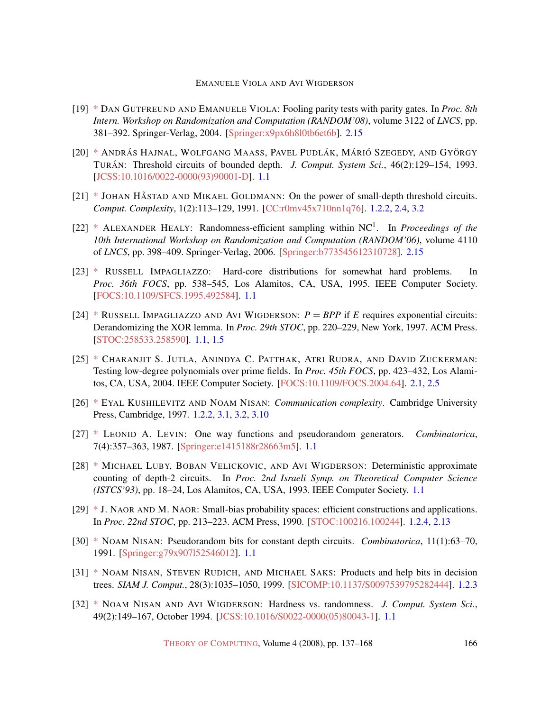- <span id="page-29-12"></span>[19] [\\*](http://theoryofcomputing.org/articles/main/v004/a007/bibliography.html#GuV04) DAN GUTFREUND AND EMANUELE VIOLA: Fooling parity tests with parity gates. In *Proc. 8th Intern. Workshop on Randomization and Computation (RANDOM'08)*, volume 3122 of *LNCS*, pp. 381–392. Springer-Verlag, 2004. [\[Springer:x9px6h8l0tb6et6b\]](http://springerlink.metapress.com/link.asp?id=x9px6h8l0tb6et6b). [2.15](#page-17-1)
- <span id="page-29-3"></span>[20] [\\*](http://theoryofcomputing.org/articles/main/v004/a007/bibliography.html#HMPST93) ANDRÁS HAJNAL, WOLFGANG MAASS, PAVEL PUDLÁK, MÁRIÓ SZEGEDY, AND GYÖRGY TURAN´ : Threshold circuits of bounded depth. *J. Comput. System Sci.*, 46(2):129–154, 1993. [\[JCSS:10.1016/0022-0000\(93\)90001-D\]](http://dx.doi.org/10.1016/0022-0000(93)90001-D). [1.1](#page-1-1)
- <span id="page-29-8"></span> $[21]$  [\\*](http://theoryofcomputing.org/articles/main/v004/a007/bibliography.html#HaG91) JOHAN HÅSTAD AND MIKAEL GOLDMANN: On the power of small-depth threshold circuits. *Comput. Complexity*, 1(2):113–129, 1991. [\[CC:r0mv45x710nn1q76\]](http://springerlink.metapress.com/link.asp?id=r0mv45x710nn1q76). [1.2.2,](#page-3-1) [2.4,](#page-16-2) [3.2](#page-22-0)
- <span id="page-29-13"></span>[22] [\\*](http://theoryofcomputing.org/articles/main/v004/a007/bibliography.html#Hea06) ALEXANDER HEALY: Randomness-efficient sampling within NC<sup>1</sup> . In *Proceedings of the 10th International Workshop on Randomization and Computation (RANDOM'06)*, volume 4110 of *LNCS*, pp. 398–409. Springer-Verlag, 2006. [\[Springer:b773545612310728\]](http://springerlink.metapress.com/link.asp?id=b773545612310728). [2.15](#page-17-1)
- <span id="page-29-5"></span>[23] [\\*](http://theoryofcomputing.org/articles/main/v004/a007/bibliography.html#Imp95) RUSSELL IMPAGLIAZZO: Hard-core distributions for somewhat hard problems. In *Proc. 36th FOCS*, pp. 538–545, Los Alamitos, CA, USA, 1995. IEEE Computer Society. [\[FOCS:10.1109/SFCS.1995.492584\]](http://doi.ieeecomputersociety.org//10.1109/SFCS.1995.492584). [1.1](#page-1-1)
- <span id="page-29-6"></span>[24] [\\*](http://theoryofcomputing.org/articles/main/v004/a007/bibliography.html#ImW97) RUSSELL IMPAGLIAZZO AND AVI WIGDERSON:  $P = BPP$  if *E* requires exponential circuits: Derandomizing the XOR lemma. In *Proc. 29th STOC*, pp. 220–229, New York, 1997. ACM Press. [\[STOC:258533.258590\]](http://portal.acm.org/citation.cfm?id=258533.258590). [1.1,](#page-1-1) [1.5](#page-6-2)
- <span id="page-29-11"></span>[25] [\\*](http://theoryofcomputing.org/articles/main/v004/a007/bibliography.html#JPRZ04) CHARANJIT S. JUTLA, ANINDYA C. PATTHAK, ATRI RUDRA, AND DAVID ZUCKERMAN: Testing low-degree polynomials over prime fields. In *Proc. 45th FOCS*, pp. 423–432, Los Alamitos, CA, USA, 2004. IEEE Computer Society. [\[FOCS:10.1109/FOCS.2004.64\]](http://doi.ieeecomputersociety.org//10.1109/FOCS.2004.64). [2.1,](#page-10-0) [2.5](#page-11-1)
- <span id="page-29-7"></span>[26] [\\*](http://theoryofcomputing.org/articles/main/v004/a007/bibliography.html#KuN97) EYAL KUSHILEVITZ AND NOAM NISAN: *Communication complexity*. Cambridge University Press, Cambridge, 1997. [1.2.2,](#page-3-1) [3.1,](#page-18-3) [3.2,](#page-20-0) [3.10](#page-21-1)
- <span id="page-29-4"></span>[27] [\\*](http://theoryofcomputing.org/articles/main/v004/a007/bibliography.html#Lev87) LEONID A. LEVIN: One way functions and pseudorandom generators. *Combinatorica*, 7(4):357–363, 1987. [\[Springer:e1415188r28663m5\]](http://springerlink.metapress.com/link.asp?id=e1415188r28663m5). [1.1](#page-1-1)
- <span id="page-29-2"></span>[28] [\\*](http://theoryofcomputing.org/articles/main/v004/a007/bibliography.html#LVW93) MICHAEL LUBY, BOBAN VELICKOVIC, AND AVI WIGDERSON: Deterministic approximate counting of depth-2 circuits. In *Proc. 2nd Israeli Symp. on Theoretical Computer Science (ISTCS'93)*, pp. 18–24, Los Alamitos, CA, USA, 1993. IEEE Computer Society. [1.1](#page-1-1)
- <span id="page-29-10"></span>[29] [\\*](http://theoryofcomputing.org/articles/main/v004/a007/bibliography.html#NaN90) J. NAOR AND M. NAOR: Small-bias probability spaces: efficient constructions and applications. In *Proc. 22nd STOC*, pp. 213–223. ACM Press, 1990. [\[STOC:100216.100244\]](http://portal.acm.org/citation.cfm?id=100216.100244). [1.2.4,](#page-8-0) [2.13](#page-16-0)
- <span id="page-29-0"></span>[30] [\\*](http://theoryofcomputing.org/articles/main/v004/a007/bibliography.html#Nis91) NOAM NISAN: Pseudorandom bits for constant depth circuits. *Combinatorica*, 11(1):63–70, 1991. [\[Springer:g79x907l52546012\]](http://springerlink.metapress.com/link.asp?id=g79x907l52546012). [1.1](#page-1-1)
- <span id="page-29-9"></span>[31] [\\*](http://theoryofcomputing.org/articles/main/v004/a007/bibliography.html#NRS99) NOAM NISAN, STEVEN RUDICH, AND MICHAEL SAKS: Products and help bits in decision trees. *SIAM J. Comput.*, 28(3):1035–1050, 1999. [\[SICOMP:10.1137/S0097539795282444\]](http://dx.doi.org/10.1137/S0097539795282444). [1.2.3](#page-5-1)
- <span id="page-29-1"></span>[32] [\\*](http://theoryofcomputing.org/articles/main/v004/a007/bibliography.html#NiW94) NOAM NISAN AND AVI WIGDERSON: Hardness vs. randomness. *J. Comput. System Sci.*, 49(2):149–167, October 1994. [\[JCSS:10.1016/S0022-0000\(05\)80043-1\]](http://dx.doi.org/10.1016/S0022-0000(05)80043-1). [1.1](#page-1-1)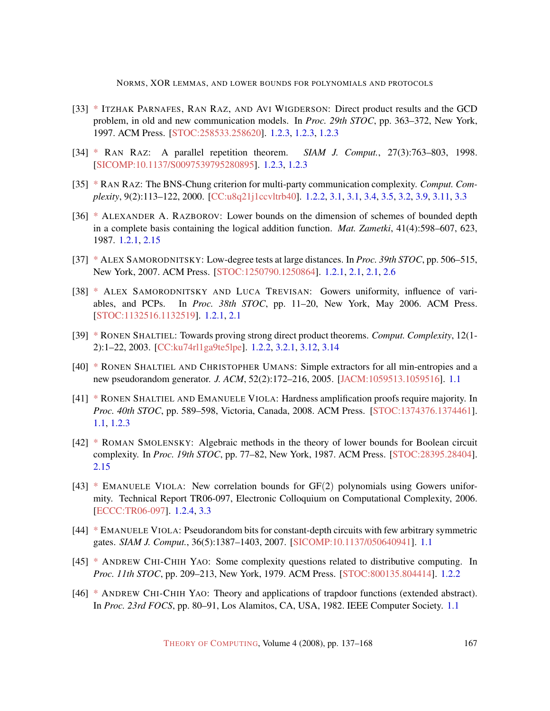NORMS, XOR LEMMAS, AND LOWER BOUNDS FOR POLYNOMIALS AND PROTOCOLS

- <span id="page-30-10"></span>[33] [\\*](http://theoryofcomputing.org/articles/main/v004/a007/bibliography.html#PRW97) ITZHAK PARNAFES, RAN RAZ, AND AVI WIGDERSON: Direct product results and the GCD problem, in old and new communication models. In *Proc. 29th STOC*, pp. 363–372, New York, 1997. ACM Press. [\[STOC:258533.258620\]](http://portal.acm.org/citation.cfm?id=258533.258620). [1.2.3,](#page-5-1) [1.2.3,](#page-6-1) [1.2.3](#page-7-0)
- <span id="page-30-11"></span>[34] [\\*](http://theoryofcomputing.org/articles/main/v004/a007/bibliography.html#Raz98) RAN RAZ: A parallel repetition theorem. *SIAM J. Comput.*, 27(3):763–803, 1998. [\[SICOMP:10.1137/S0097539795280895\]](http://dx.doi.org/10.1137/S0097539795280895). [1.2.3,](#page-5-1) [1.2.3](#page-7-0)
- <span id="page-30-9"></span>[35] [\\*](http://theoryofcomputing.org/articles/main/v004/a007/bibliography.html#Raz00) RAN RAZ: The BNS-Chung criterion for multi-party communication complexity. *Comput. Complexity*, 9(2):113–122, 2000. [\[CC:u8q21j1ccvltrb40\]](http://springerlink.metapress.com/link.asp?id=u8q21j1ccvltrb40). [1.2.2,](#page-4-0) [3.1,](#page-18-3) [3.1,](#page-18-4) [3.4,](#page-18-0) [3.5,](#page-19-0) [3.2,](#page-20-0) [3.9,](#page-21-0) [3.11,](#page-22-0) [3.3](#page-26-0)
- <span id="page-30-4"></span>[36] [\\*](http://theoryofcomputing.org/articles/main/v004/a007/bibliography.html#Raz87) ALEXANDER A. RAZBOROV: Lower bounds on the dimension of schemes of bounded depth in a complete basis containing the logical addition function. *Mat. Zametki*, 41(4):598–607, 623, 1987. [1.2.1,](#page-3-2) [2.15](#page-17-1)
- <span id="page-30-5"></span>[37] [\\*](http://theoryofcomputing.org/articles/main/v004/a007/bibliography.html#Sam07) ALEX SAMORODNITSKY: Low-degree tests at large distances. In *Proc. 39th STOC*, pp. 506–515, New York, 2007. ACM Press. [\[STOC:1250790.1250864\]](http://portal.acm.org/citation.cfm?id=1250790.1250864). [1.2.1,](#page-3-0) [2.1,](#page-10-0) [2.1,](#page-11-1) [2.6](#page-11-2)
- <span id="page-30-6"></span>[38] [\\*](http://theoryofcomputing.org/articles/main/v004/a007/bibliography.html#SmT06) ALEX SAMORODNITSKY AND LUCA TREVISAN: Gowers uniformity, influence of variables, and PCPs. In *Proc. 38th STOC*, pp. 11–20, New York, May 2006. ACM Press. [\[STOC:1132516.1132519\]](http://portal.acm.org/citation.cfm?id=1132516.1132519). [1.2.1,](#page-3-0) [2.1](#page-9-3)
- <span id="page-30-8"></span>[39] [\\*](http://theoryofcomputing.org/articles/main/v004/a007/bibliography.html#Sha03) RONEN SHALTIEL: Towards proving strong direct product theorems. *Comput. Complexity*, 12(1- 2):1–22, 2003. [\[CC:ku74rl1ga9te5lpe\]](http://springerlink.metapress.com/link.asp?id=ku74rl1ga9te5lpe). [1.2.2,](#page-4-0) [3.2.1,](#page-23-1) [3.12,](#page-23-0) [3.14](#page-24-1)
- <span id="page-30-0"></span>[40] [\\*](http://theoryofcomputing.org/articles/main/v004/a007/bibliography.html#ShU05) RONEN SHALTIEL AND CHRISTOPHER UMANS: Simple extractors for all min-entropies and a new pseudorandom generator. *J. ACM*, 52(2):172–216, 2005. [\[JACM:1059513.1059516\]](http://portal.acm.org/citation.cfm?id=1059513.1059516). [1.1](#page-1-1)
- <span id="page-30-3"></span>[41] [\\*](http://theoryofcomputing.org/articles/main/v004/a007/bibliography.html#ShV-dec) RONEN SHALTIEL AND EMANUELE VIOLA: Hardness amplification proofs require majority. In *Proc. 40th STOC*, pp. 589–598, Victoria, Canada, 2008. ACM Press. [\[STOC:1374376.1374461\]](http://portal.acm.org/citation.cfm?id=1374376.1374461). [1.1,](#page-1-1) [1.2.3](#page-7-0)
- <span id="page-30-13"></span>[42] [\\*](http://theoryofcomputing.org/articles/main/v004/a007/bibliography.html#Smo87) ROMAN SMOLENSKY: Algebraic methods in the theory of lower bounds for Boolean circuit complexity. In *Proc. 19th STOC*, pp. 77–82, New York, 1987. ACM Press. [\[STOC:28395.28404\]](http://portal.acm.org/citation.cfm?id=28395.28404). [2.15](#page-17-1)
- <span id="page-30-12"></span> $[43]$  [\\*](http://theoryofcomputing.org/articles/main/v004/a007/bibliography.html#ViolaGF2) EMANUELE VIOLA: New correlation bounds for GF(2) polynomials using Gowers uniformity. Technical Report TR06-097, Electronic Colloquium on Computational Complexity, 2006. [\[ECCC:TR06-097\]](http://www.eccc.uni-trier.de/eccc-reports/2006/TR06-097). [1.2.4,](#page-8-0) [3.3](#page-27-4)
- <span id="page-30-1"></span>[44] [\\*](http://theoryofcomputing.org/articles/main/v004/a007/bibliography.html#Viola-SYMAC0) EMANUELE VIOLA: Pseudorandom bits for constant-depth circuits with few arbitrary symmetric gates. *SIAM J. Comput.*, 36(5):1387–1403, 2007. [\[SICOMP:10.1137/050640941\]](http://dx.doi.org/10.1137/050640941). [1.1](#page-1-1)
- <span id="page-30-7"></span>[45] [\\*](http://theoryofcomputing.org/articles/main/v004/a007/bibliography.html#Yao79) ANDREW CHI-CHIH YAO: Some complexity questions related to distributive computing. In *Proc. 11th STOC*, pp. 209–213, New York, 1979. ACM Press. [\[STOC:800135.804414\]](http://portal.acm.org/citation.cfm?id=800135.804414). [1.2.2](#page-3-1)
- <span id="page-30-2"></span>[46] [\\*](http://theoryofcomputing.org/articles/main/v004/a007/bibliography.html#Yao82) ANDREW CHI-CHIH YAO: Theory and applications of trapdoor functions (extended abstract). In *Proc. 23rd FOCS*, pp. 80–91, Los Alamitos, CA, USA, 1982. IEEE Computer Society. [1.1](#page-1-1)